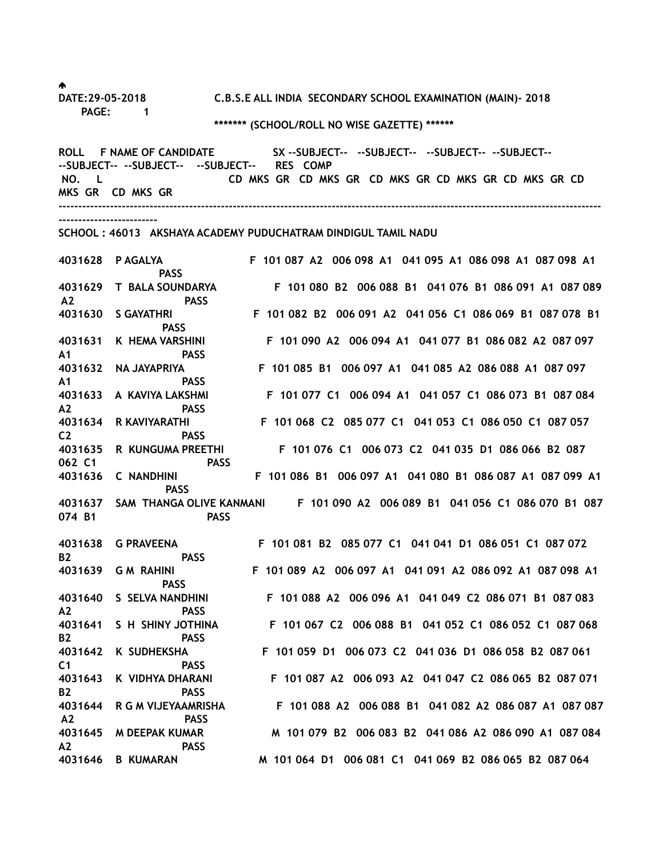♠

**DATE:29-05-2018 C.B.S.E ALL INDIA SECONDARY SCHOOL EXAMINATION (MAIN)- 2018 PAGE: 1**

### **\*\*\*\*\*\*\* (SCHOOL/ROLL NO WISE GAZETTE) \*\*\*\*\*\***

ROLL F NAME OF CANDIDATE SX --SUBJECT-- --SUBJECT-- --SUBJECT-- --SUBJECT--**--SUBJECT-- --SUBJECT-- --SUBJECT-- RES COMP NO. L CD MKS GR CD MKS GR CD MKS GR CD MKS GR CD MKS GR CD MKS GR CD MKS GR -----------------------------------------------------------------------------------------------------------------------------------------**

**-------------------------**

#### **SCHOOL : 46013 AKSHAYA ACADEMY PUDUCHATRAM DINDIGUL TAMIL NADU**

**4031628 P AGALYA F 101 087 A2 006 098 A1 041 095 A1 086 098 A1 087 098 A1 PASS 4031629 T BALA SOUNDARYA F 101 080 B2 006 088 B1 041 076 B1 086 091 A1 087 089 A2 PASS 4031630 S GAYATHRI F 101 082 B2 006 091 A2 041 056 C1 086 069 B1 087 078 B1 PASS 4031631 K HEMA VARSHINI F 101 090 A2 006 094 A1 041 077 B1 086 082 A2 087 097 A1 PASS 4031632 NA JAYAPRIYA F 101 085 B1 006 097 A1 041 085 A2 086 088 A1 087 097 A1 PASS 4031633 A KAVIYA LAKSHMI F 101 077 C1 006 094 A1 041 057 C1 086 073 B1 087 084 A2 PASS 4031634 R KAVIYARATHI F 101 068 C2 085 077 C1 041 053 C1 086 050 C1 087 057 C2 PASS 4031635 R KUNGUMA PREETHI F 101 076 C1 006 073 C2 041 035 D1 086 066 B2 087 062 C1 PASS 4031636 C NANDHINI F 101 086 B1 006 097 A1 041 080 B1 086 087 A1 087 099 A1 PASS 4031637 SAM THANGA OLIVE KANMANI F 101 090 A2 006 089 B1 041 056 C1 086 070 B1 087 074 B1 PASS 4031638 G PRAVEENA F 101 081 B2 085 077 C1 041 041 D1 086 051 C1 087 072 B2 PASS 4031639 G M RAHINI F 101 089 A2 006 097 A1 041 091 A2 086 092 A1 087 098 A1 PASS 4031640 S SELVA NANDHINI F 101 088 A2 006 096 A1 041 049 C2 086 071 B1 087 083 A2 PASS 4031641 S H SHINY JOTHINA F 101 067 C2 006 088 B1 041 052 C1 086 052 C1 087 068 B2 PASS 4031642 K SUDHEKSHA F 101 059 D1 006 073 C2 041 036 D1 086 058 B2 087 061 C1 PASS** 

**4031643 K VIDHYA DHARANI F 101 087 A2 006 093 A2 041 047 C2 086 065 B2 087 071 B2 PASS 4031644 R G M VIJEYAAMRISHA F 101 088 A2 006 088 B1 041 082 A2 086 087 A1 087 087 A2 PASS 4031645 M DEEPAK KUMAR M 101 079 B2 006 083 B2 041 086 A2 086 090 A1 087 084 A2 PASS 4031646 B KUMARAN M 101 064 D1 006 081 C1 041 069 B2 086 065 B2 087 064**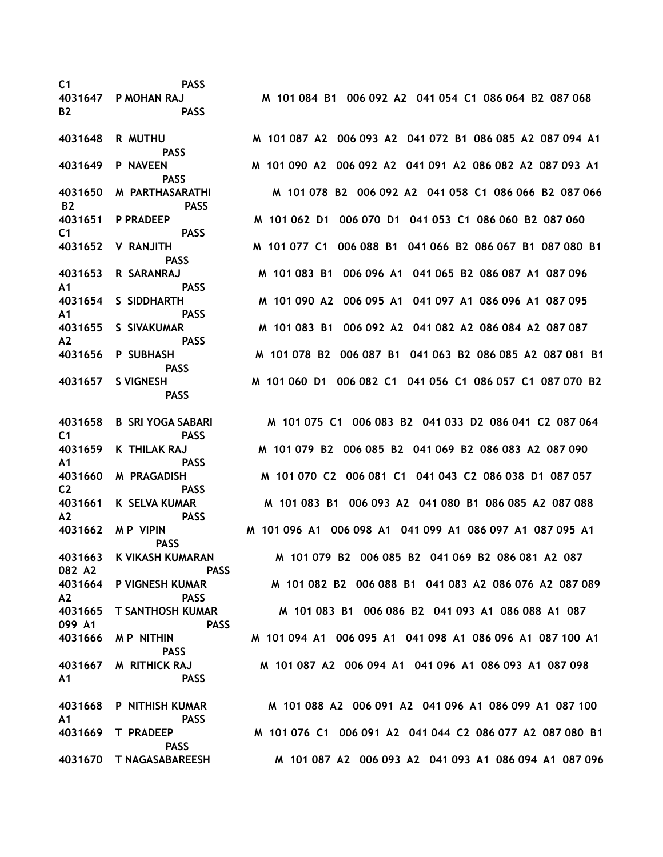**C1 PASS B2 PASS PASS PASS B2 PASS C1 PASS PASS A1 PASS A1 PASS A2 PASS PASS PASS C1 PASS A1 PASS C2 PASS A2 PASS PASS 082 A2 PASS A2 PASS 099 A1 PASS PASS A1 PASS A1 PASS PASS** 

**4031647 P MOHAN RAJ M 101 084 B1 006 092 A2 041 054 C1 086 064 B2 087 068** 

**4031648 R MUTHU M 101 087 A2 006 093 A2 041 072 B1 086 085 A2 087 094 A1 4031649 P NAVEEN M 101 090 A2 006 092 A2 041 091 A2 086 082 A2 087 093 A1 4031650 M PARTHASARATHI M 101 078 B2 006 092 A2 041 058 C1 086 066 B2 087 066 4031651 P PRADEEP M 101 062 D1 006 070 D1 041 053 C1 086 060 B2 087 060 4031652 V RANJITH M 101 077 C1 006 088 B1 041 066 B2 086 067 B1 087 080 B1 4031653 R SARANRAJ M 101 083 B1 006 096 A1 041 065 B2 086 087 A1 087 096 4031654 S SIDDHARTH M 101 090 A2 006 095 A1 041 097 A1 086 096 A1 087 095 4031655 S SIVAKUMAR M 101 083 B1 006 092 A2 041 082 A2 086 084 A2 087 087 4031656 P SUBHASH M 101 078 B2 006 087 B1 041 063 B2 086 085 A2 087 081 B1 4031657 S VIGNESH M 101 060 D1 006 082 C1 041 056 C1 086 057 C1 087 070 B2**

**4031658 B SRI YOGA SABARI M 101 075 C1 006 083 B2 041 033 D2 086 041 C2 087 064 4031659 K THILAK RAJ M 101 079 B2 006 085 B2 041 069 B2 086 083 A2 087 090 4031660 M PRAGADISH M 101 070 C2 006 081 C1 041 043 C2 086 038 D1 087 057 4031661 K SELVA KUMAR M 101 083 B1 006 093 A2 041 080 B1 086 085 A2 087 088 4031662 M P VIPIN M 101 096 A1 006 098 A1 041 099 A1 086 097 A1 087 095 A1 4031663 K VIKASH KUMARAN M 101 079 B2 006 085 B2 041 069 B2 086 081 A2 087 4031664 P VIGNESH KUMAR M 101 082 B2 006 088 B1 041 083 A2 086 076 A2 087 089 4031665 T SANTHOSH KUMAR M 101 083 B1 006 086 B2 041 093 A1 086 088 A1 087 4031666 M P NITHIN M 101 094 A1 006 095 A1 041 098 A1 086 096 A1 087 100 A1 4031667 M RITHICK RAJ M 101 087 A2 006 094 A1 041 096 A1 086 093 A1 087 098** 

**4031668 P NITHISH KUMAR M 101 088 A2 006 091 A2 041 096 A1 086 099 A1 087 100 4031669 T PRADEEP M 101 076 C1 006 091 A2 041 044 C2 086 077 A2 087 080 B1 4031670 T NAGASABAREESH M 101 087 A2 006 093 A2 041 093 A1 086 094 A1 087 096**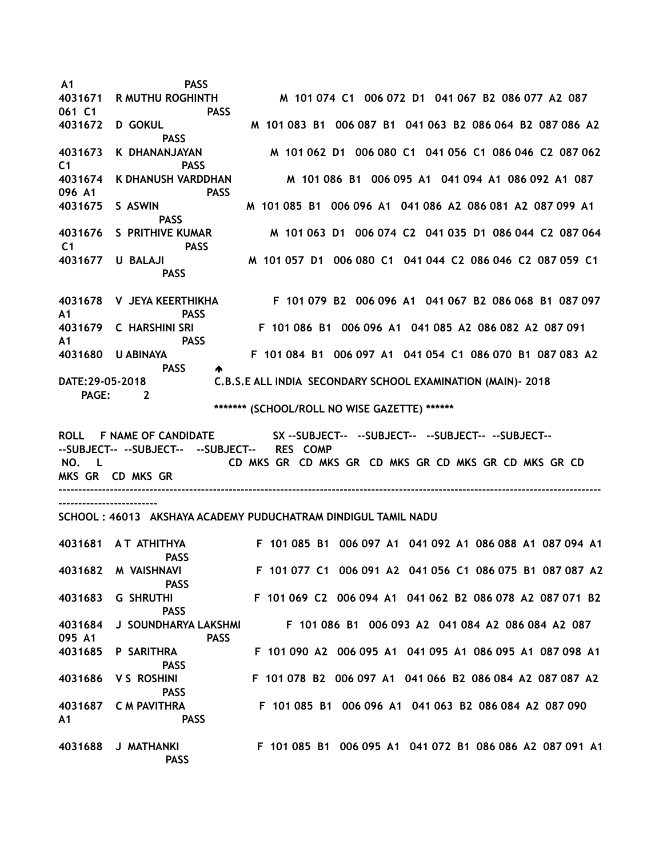**A1 PASS 4031671 R MUTHU ROGHINTH M 101 074 C1 006 072 D1 041 067 B2 086 077 A2 087 061 C1 PASS 4031672 D GOKUL M 101 083 B1 006 087 B1 041 063 B2 086 064 B2 087 086 A2 PASS 4031673 K DHANANJAYAN M 101 062 D1 006 080 C1 041 056 C1 086 046 C2 087 062 C1 PASS 4031674 K DHANUSH VARDDHAN M 101 086 B1 006 095 A1 041 094 A1 086 092 A1 087 096 A1 PASS 4031675 S ASWIN M 101 085 B1 006 096 A1 041 086 A2 086 081 A2 087 099 A1 PASS 4031676 S PRITHIVE KUMAR M 101 063 D1 006 074 C2 041 035 D1 086 044 C2 087 064 C1 PASS 4031677 U BALAJI M 101 057 D1 006 080 C1 041 044 C2 086 046 C2 087 059 C1 PASS 4031678 V JEYA KEERTHIKHA F 101 079 B2 006 096 A1 041 067 B2 086 068 B1 087 097 A1 PASS 4031679 C HARSHINI SRI F 101 086 B1 006 096 A1 041 085 A2 086 082 A2 087 091 A1 PASS 4031680 U ABINAYA F 101 084 B1 006 097 A1 041 054 C1 086 070 B1 087 083 A2 PASS DATE:29-05-2018 C.B.S.E ALL INDIA SECONDARY SCHOOL EXAMINATION (MAIN)- 2018 PAGE: 2 \*\*\*\*\*\*\* (SCHOOL/ROLL NO WISE GAZETTE) \*\*\*\*\*\* ROLL F NAME OF CANDIDATE SX --SUBJECT-- --SUBJECT-- --SUBJECT-- --SUBJECT-- --SUBJECT-- --SUBJECT-- --SUBJECT-- RES COMP NO. L CD MKS GR CD MKS GR CD MKS GR CD MKS GR CD MKS GR CD MKS GR CD MKS GR -----------------------------------------------------------------------------------------------------------------------------------------**

**-------------------------**

#### **SCHOOL : 46013 AKSHAYA ACADEMY PUDUCHATRAM DINDIGUL TAMIL NADU**

|         | 4031681 AT ATHITHYA<br><b>PASS</b> | F 101 085 B1 006 097 A1 041 092 A1 086 088 A1 087 094 A1 |
|---------|------------------------------------|----------------------------------------------------------|
| 4031682 | M VAISHNAVI<br><b>PASS</b>         | F 101 077 C1 006 091 A2 041 056 C1 086 075 B1 087 087 A2 |
| 4031683 | <b>G SHRUTHI</b><br><b>PASS</b>    | F 101 069 C2 006 094 A1 041 062 B2 086 078 A2 087 071 B2 |
| 4031684 | J SOUNDHARYA LAKSHMI               | F 101 086 B1 006 093 A2 041 084 A2 086 084 A2 087        |
| 095 A1  | <b>PASS</b>                        |                                                          |
| 4031685 | P SARITHRA<br><b>PASS</b>          | F 101 090 A2 006 095 A1 041 095 A1 086 095 A1 087 098 A1 |
|         | 4031686 VS ROSHINI<br><b>PASS</b>  | F 101 078 B2 006 097 A1 041 066 B2 086 084 A2 087 087 A2 |
|         | 4031687 C M PAVITHRA               | F 101 085 B1 006 096 A1 041 063 B2 086 084 A2 087 090    |
| A1      | <b>PASS</b>                        |                                                          |
| 4031688 | J MATHANKI                         | F 101 085 B1 006 095 A1 041 072 B1 086 086 A2 087 091 A1 |

 **PASS**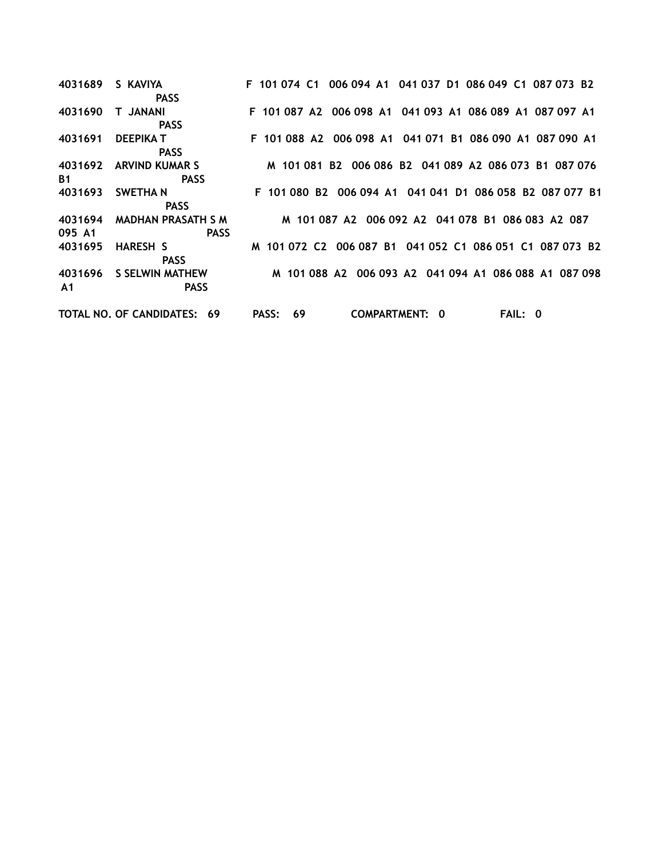**4031689 S KAVIYA F 101 074 C1 006 094 A1 041 037 D1 086 049 C1 087 073 B2 PASS 4031690 T JANANI F 101 087 A2 006 098 A1 041 093 A1 086 089 A1 087 097 A1 PASS 4031691 DEEPIKA T F 101 088 A2 006 098 A1 041 071 B1 086 090 A1 087 090 A1 PASS 4031692 ARVIND KUMAR S M 101 081 B2 006 086 B2 041 089 A2 086 073 B1 087 076 B1 PASS 4031693 SWETHA N F 101 080 B2 006 094 A1 041 041 D1 086 058 B2 087 077 B1 PASS 4031694 MADHAN PRASATH S M M 101 087 A2 006 092 A2 041 078 B1 086 083 A2 087 095 A1 PASS 4031695 HARESH S M 101 072 C2 006 087 B1 041 052 C1 086 051 C1 087 073 B2 PASS 4031696 S SELWIN MATHEW M 101 088 A2 006 093 A2 041 094 A1 086 088 A1 087 098 A1 PASS TOTAL NO. OF CANDIDATES: 69 PASS: 69 COMPARTMENT: 0 FAIL: 0**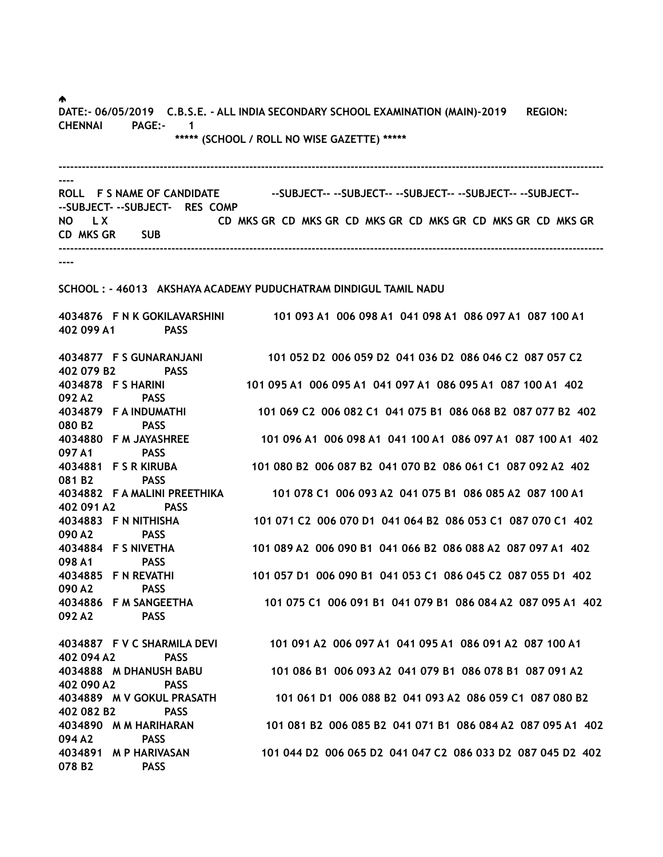♠.

078 B2 PASS

DATE:- 06/05/2019 C.B.S.E. - ALL INDIA SECONDARY SCHOOL EXAMINATION (MAIN)-2019 REGION: CHENNAI PAGE:- 1 \*\*\*\*\* (SCHOOL / ROLL NO WISE GAZETTE) \*\*\*\*\*

-------------------------------------------------------------------------------------------------------------------------------------------- ---- ROLL F S NAME OF CANDIDATE ---SUBJECT---SUBJECT----SUBJECT----SUBJECT----SUBJECT----SUBJECT- --SUBJECT- RES COMP NO LX CD MKS GR CD MKS GR CD MKS GR CD MKS GR CD MKS GR CD MKS GR CD MKS GR CD MKS GR CD MKS GR SUB -------------------------------------------------------------------------------------------------------------------------------------------- ---- SCHOOL : - 46013 AKSHAYA ACADEMY PUDUCHATRAM DINDIGUL TAMIL NADU 4034876 F N K GOKILAVARSHINI 101 093 A1 006 098 A1 041 098 A1 086 097 A1 087 100 A1 402 099 A1 PASS 4034877 F S GUNARANJANI 101 052 D2 006 059 D2 041 036 D2 086 046 C2 087 057 C2 402 079 B2 PASS 4034878 F S HARINI 101 095 A1 006 095 A1 041 097 A1 086 095 A1 087 100 A1 402 092 A2 PASS 4034879 F A INDUMATHI 101 069 C2 006 082 C1 041 075 B1 086 068 B2 087 077 B2 402 080 B2 PASS 4034880 F M JAYASHREE 101 096 A1 006 098 A1 041 100 A1 086 097 A1 087 100 A1 402 097 A1 PASS 4034881 F S R KIRUBA 101 080 B2 006 087 B2 041 070 B2 086 061 C1 087 092 A2 402 081 B2 PASS 4034882 F A MALINI PREETHIKA 101 078 C1 006 093 A2 041 075 B1 086 085 A2 087 100 A1 402 091 A2 PASS 4034883 F N NITHISHA 101 071 C2 006 070 D1 041 064 B2 086 053 C1 087 070 C1 402 090 A2 PASS 4034884 F S NIVETHA 101 089 A2 006 090 B1 041 066 B2 086 088 A2 087 097 A1 402 098 A1 PASS 4034885 F N REVATHI 101 057 D1 006 090 B1 041 053 C1 086 045 C2 087 055 D1 402 090 A2 PASS 4034886 F M SANGEETHA 101 075 C1 006 091 B1 041 079 B1 086 084 A2 087 095 A1 402 092 A2 PASS 4034887 F V C SHARMILA DEVI 101 091 A2 006 097 A1 041 095 A1 086 091 A2 087 100 A1 402 094 A2 PASS 4034888 M DHANUSH BABU 101 086 B1 006 093 A2 041 079 B1 086 078 B1 087 091 A2 402 090 A2 PASS 4034889 M V GOKUL PRASATH 101 061 D1 006 088 B2 041 093 A2 086 059 C1 087 080 B2 402 082 B2 PASS 4034890 M M HARIHARAN 101 081 B2 006 085 B2 041 071 B1 086 084 A2 087 095 A1 402 094 A2 PASS

4034891 M P HARIVASAN 101 044 D2 006 065 D2 041 047 C2 086 033 D2 087 045 D2 402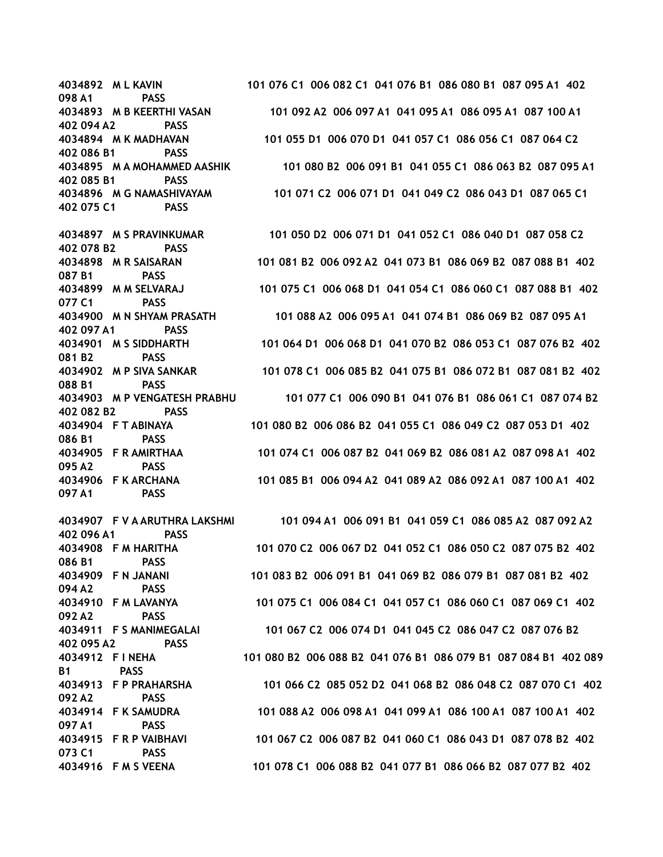098 A1 PASS 402 094 A2 PASS 402 086 B1 PASS 402 085 B1 PASS 402 075 C1 PASS

402 078 B2 PASS 087 B1 PASS 077 C1 PASS 402 097 A1 PASS 081 B2 PASS 088 B1 PASS 402 082 B2 PASS 086 B1 PASS 095 A2 PASS 097 A1 PASS

402 096 A1 PASS 086 B1 PASS 094 A2 PASS 092 A2 PASS 402 095 A2 PASS B1 PASS 092 A2 PASS 097 A1 PASS 073 C1 PASS

4034892 M L KAVIN 101 076 C1 006 082 C1 041 076 B1 086 080 B1 087 095 A1 402 4034893 M B KEERTHI VASAN 101 092 A2 006 097 A1 041 095 A1 086 095 A1 087 100 A1 4034894 M K MADHAVAN 101 055 D1 006 070 D1 041 057 C1 086 056 C1 087 064 C2 4034895 M A MOHAMMED AASHIK 101 080 B2 006 091 B1 041 055 C1 086 063 B2 087 095 A1 4034896 M G NAMASHIVAYAM 101 071 C2 006 071 D1 041 049 C2 086 043 D1 087 065 C1

4034897 M S PRAVINKUMAR 101 050 D2 006 071 D1 041 052 C1 086 040 D1 087 058 C2 4034898 M R SAISARAN 101 081 B2 006 092 A2 041 073 B1 086 069 B2 087 088 B1 402 4034899 M M SELVARAJ 101 075 C1 006 068 D1 041 054 C1 086 060 C1 087 088 B1 402 4034900 M N SHYAM PRASATH 101 088 A2 006 095 A1 041 074 B1 086 069 B2 087 095 A1 4034901 M S SIDDHARTH 101 064 D1 006 068 D1 041 070 B2 086 053 C1 087 076 B2 402 4034902 M P SIVA SANKAR 101 078 C1 006 085 B2 041 075 B1 086 072 B1 087 081 B2 402 4034903 M P VENGATESH PRABHU 101 077 C1 006 090 B1 041 076 B1 086 061 C1 087 074 B2 4034904 F T ABINAYA 101 080 B2 006 086 B2 041 055 C1 086 049 C2 087 053 D1 402 4034905 F R AMIRTHAA 101 074 C1 006 087 B2 041 069 B2 086 081 A2 087 098 A1 402 4034906 F K ARCHANA 101 085 B1 006 094 A2 041 089 A2 086 092 A1 087 100 A1 402

4034907 F V A ARUTHRA LAKSHMI 101 094 A1 006 091 B1 041 059 C1 086 085 A2 087 092 A2 4034908 F M HARITHA 101 070 C2 006 067 D2 041 052 C1 086 050 C2 087 075 B2 402 4034909 F N JANANI 101 083 B2 006 091 B1 041 069 B2 086 079 B1 087 081 B2 402 4034910 F M LAVANYA 101 075 C1 006 084 C1 041 057 C1 086 060 C1 087 069 C1 402 4034911 F S MANIMEGALAI 101 067 C2 006 074 D1 041 045 C2 086 047 C2 087 076 B2 4034912 F I NEHA 101 080 B2 006 088 B2 041 076 B1 086 079 B1 087 084 B1 402 089 4034913 F P PRAHARSHA 101 066 C2 085 052 D2 041 068 B2 086 048 C2 087 070 C1 402 4034914 F K SAMUDRA 101 088 A2 006 098 A1 041 099 A1 086 100 A1 087 100 A1 402 4034915 F R P VAIBHAVI 101 067 C2 006 087 B2 041 060 C1 086 043 D1 087 078 B2 402 4034916 F M S VEENA 101 078 C1 006 088 B2 041 077 B1 086 066 B2 087 077 B2 402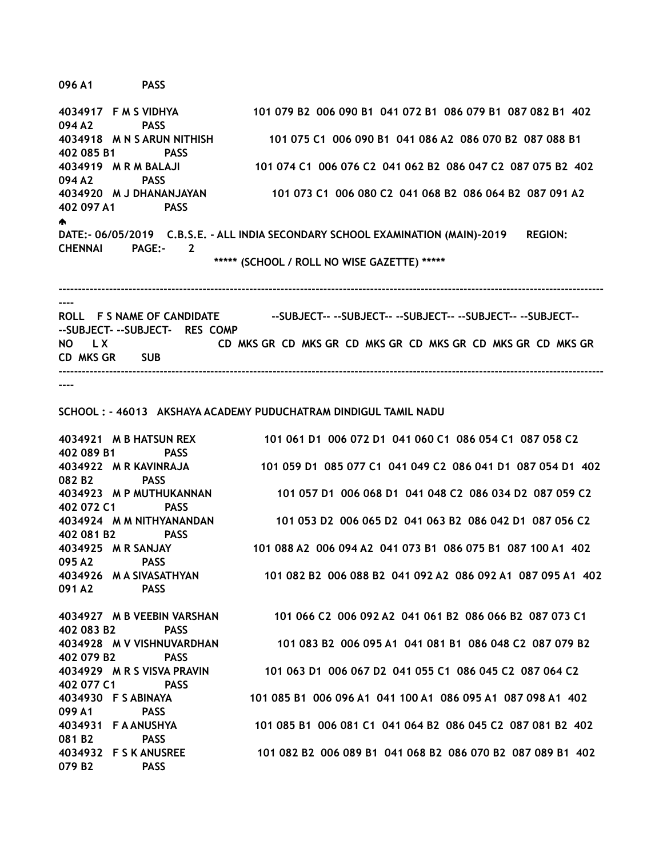096 A1 PASS

4034917 F M S VIDHYA 101 079 B2 006 090 B1 041 072 B1 086 079 B1 087 082 B1 402 094 A2 PASS 4034918 M N S ARUN NITHISH 101 075 C1 006 090 B1 041 086 A2 086 070 B2 087 088 B1 402 085 B1 PASS 4034919 M R M BALAJI 101 074 C1 006 076 C2 041 062 B2 086 047 C2 087 075 B2 402 094 A2 PASS 4034920 M J DHANANJAYAN 101 073 C1 006 080 C2 041 068 B2 086 064 B2 087 091 A2 402 097 A1 PASS ♠ DATE:- 06/05/2019 C.B.S.E. - ALL INDIA SECONDARY SCHOOL EXAMINATION (MAIN)-2019 REGION: CHENNAI PAGE:- 2 \*\*\*\*\* (SCHOOL / ROLL NO WISE GAZETTE) \*\*\*\*\* --------------------------------------------------------------------------------------------------------------------------------------------

---- ROLL F S NAME OF CANDIDATE ---SUBJECT----SUBJECT----SUBJECT----SUBJECT----SUBJECT----SUBJECT- --SUBJECT- RES COMP NO LX CD MKS GR CD MKS GR CD MKS GR CD MKS GR CD MKS GR CD MKS GR CD MKS GR CD MKS GR CD MKS GR SUB --------------------------------------------------------------------------------------------------------------------------------------------

----

SCHOOL : - 46013 AKSHAYA ACADEMY PUDUCHATRAM DINDIGUL TAMIL NADU

4034921 M B HATSUN REX 101 061 D1 006 072 D1 041 060 C1 086 054 C1 087 058 C2 402 089 B1 PASS 4034922 M R KAVINRAJA 101 059 D1 085 077 C1 041 049 C2 086 041 D1 087 054 D1 402 082 B2 PASS 4034923 M P MUTHUKANNAN 101 057 D1 006 068 D1 041 048 C2 086 034 D2 087 059 C2 402 072 C1 PASS 4034924 M M NITHYANANDAN 101 053 D2 006 065 D2 041 063 B2 086 042 D1 087 056 C2 402 081 B2 PASS 4034925 M R SANJAY 101 088 A2 006 094 A2 041 073 B1 086 075 B1 087 100 A1 402 095 A2 PASS 4034926 M A SIVASATHYAN 101 082 B2 006 088 B2 041 092 A2 086 092 A1 087 095 A1 402 091 A2 PASS 4034927 M B VEEBIN VARSHAN 101 066 C2 006 092 A2 041 061 B2 086 066 B2 087 073 C1 402 083 B2 PASS 4034928 M V VISHNUVARDHAN 101 083 B2 006 095 A1 041 081 B1 086 048 C2 087 079 B2 402 079 B2 PASS 4034929 M R S VISVA PRAVIN 101 063 D1 006 067 D2 041 055 C1 086 045 C2 087 064 C2 402 077 C1 PASS 4034930 F S ABINAYA 101 085 B1 006 096 A1 041 100 A1 086 095 A1 087 098 A1 402 099 A1 PASS 4034931 F A ANUSHYA 101 085 B1 006 081 C1 041 064 B2 086 045 C2 087 081 B2 402 081 B2 PASS 4034932 F S K ANUSREE 101 082 B2 006 089 B1 041 068 B2 086 070 B2 087 089 B1 402 079 B2 PASS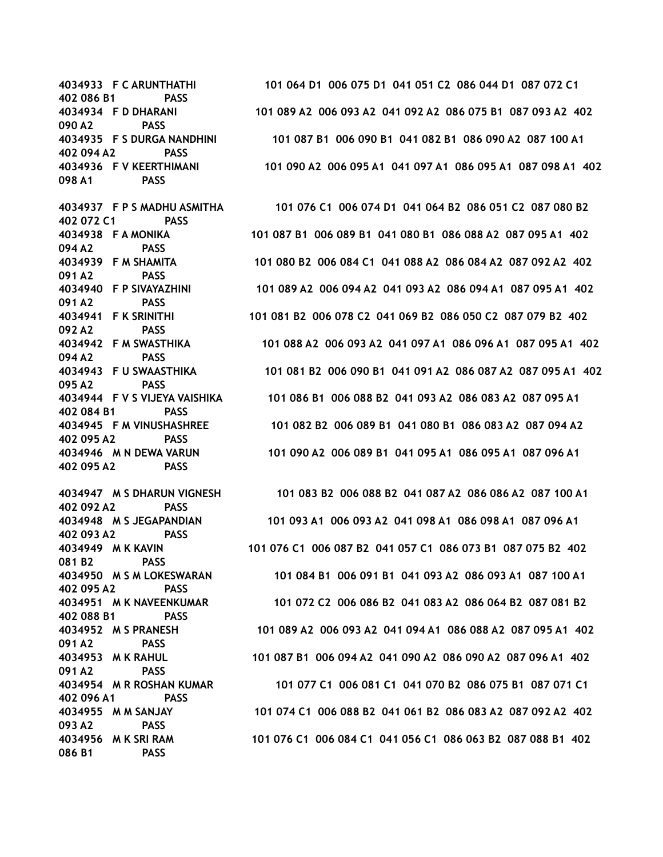402 086 B1 PASS 090 A2 PASS 402 094 A2 PASS 098 A1 PASS 402 072 C1 PASS 094 A2 PASS 091 A2 PASS 091 A2 PASS 092 A2 PASS 094 A2 PASS 095 A2 PASS 402 084 B1 PASS 402 095 A2 PASS 402 095 A2 PASS 402 092 A2 PASS 402 093 A2 PASS 081 B2 PASS 402 095 A2 PASS 402 088 B1 PASS 091 A2 PASS 091 A2 PASS 402 096 A1 PASS 093 A2 PASS 086 B1 PASS

4034933 F C ARUNTHATHI 101 064 D1 006 075 D1 041 051 C2 086 044 D1 087 072 C1 4034934 F D DHARANI 101 089 A2 006 093 A2 041 092 A2 086 075 B1 087 093 A2 402 4034935 F S DURGA NANDHINI 101 087 B1 006 090 B1 041 082 B1 086 090 A2 087 100 A1 4034936 F V KEERTHIMANI 101 090 A2 006 095 A1 041 097 A1 086 095 A1 087 098 A1 402

4034937 F P S MADHU ASMITHA 101 076 C1 006 074 D1 041 064 B2 086 051 C2 087 080 B2 4034938 F A MONIKA 101 087 B1 006 089 B1 041 080 B1 086 088 A2 087 095 A1 402 4034939 F M SHAMITA 101 080 B2 006 084 C1 041 088 A2 086 084 A2 087 092 A2 402 4034940 F P SIVAYAZHINI 101 089 A2 006 094 A2 041 093 A2 086 094 A1 087 095 A1 402 4034941 F K SRINITHI 101 081 B2 006 078 C2 041 069 B2 086 050 C2 087 079 B2 402 4034942 F M SWASTHIKA 101 088 A2 006 093 A2 041 097 A1 086 096 A1 087 095 A1 402 4034943 F U SWAASTHIKA 101 081 B2 006 090 B1 041 091 A2 086 087 A2 087 095 A1 402 4034944 F V S VIJEYA VAISHIKA 101 086 B1 006 088 B2 041 093 A2 086 083 A2 087 095 A1 4034945 F M VINUSHASHREE 101 082 B2 006 089 B1 041 080 B1 086 083 A2 087 094 A2 4034946 M N DEWA VARUN 101 090 A2 006 089 B1 041 095 A1 086 095 A1 087 096 A1

4034947 M S DHARUN VIGNESH 101 083 B2 006 088 B2 041 087 A2 086 086 A2 087 100 A1 4034948 M S JEGAPANDIAN 101 093 A1 006 093 A2 041 098 A1 086 098 A1 087 096 A1 4034949 M K KAVIN 101 076 C1 006 087 B2 041 057 C1 086 073 B1 087 075 B2 402 4034950 M S M LOKESWARAN 101 084 B1 006 091 B1 041 093 A2 086 093 A1 087 100 A1 4034951 M K NAVEENKUMAR 101 072 C2 006 086 B2 041 083 A2 086 064 B2 087 081 B2 4034952 M S PRANESH 101 089 A2 006 093 A2 041 094 A1 086 088 A2 087 095 A1 402 4034953 M K RAHUL 101 087 B1 006 094 A2 041 090 A2 086 090 A2 087 096 A1 402 4034954 M R ROSHAN KUMAR 101 077 C1 006 081 C1 041 070 B2 086 075 B1 087 071 C1 4034955 M M SANJAY 101 074 C1 006 088 B2 041 061 B2 086 083 A2 087 092 A2 402 4034956 M K SRI RAM 101 076 C1 006 084 C1 041 056 C1 086 063 B2 087 088 B1 402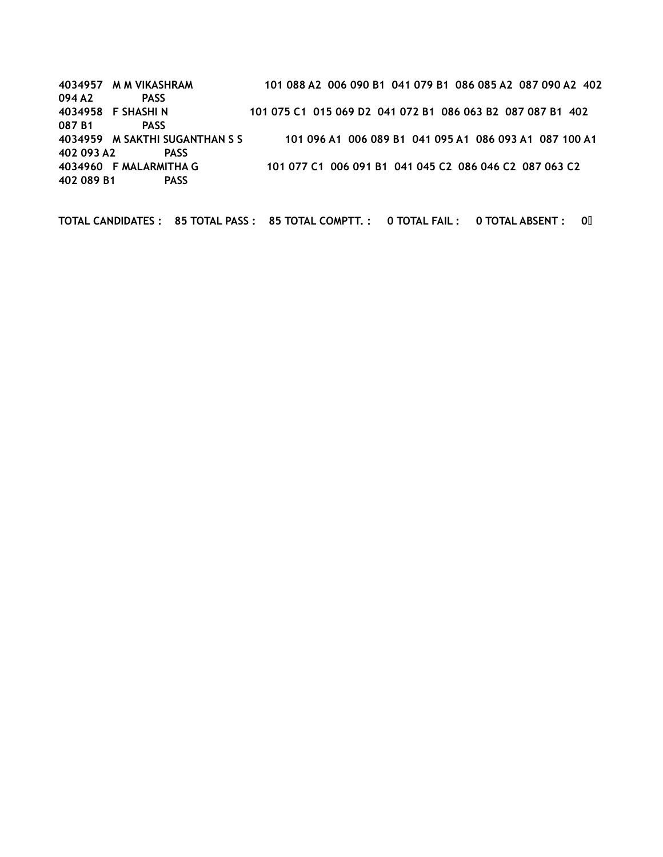4034957 M M VIKASHRAM 101 088 A2 006 090 B1 041 079 B1 086 085 A2 087 090 A2 402 094 A2 PASS 4034958 F SHASHI N 101 075 C1 015 069 D2 041 072 B1 086 063 B2 087 087 B1 402 087 B1 PASS 4034959 M SAKTHI SUGANTHAN S S 101 096 A1 006 089 B1 041 095 A1 086 093 A1 087 100 A1 402 093 A2 PASS 4034960 F MALARMITHA G 101 077 C1 006 091 B1 041 045 C2 086 046 C2 087 063 C2 402 089 B1 PASS

TOTAL CANDIDATES : 85 TOTAL PASS : 85 TOTAL COMPTT. : 0 TOTAL FAIL : 0 TOTAL ABSENT : 0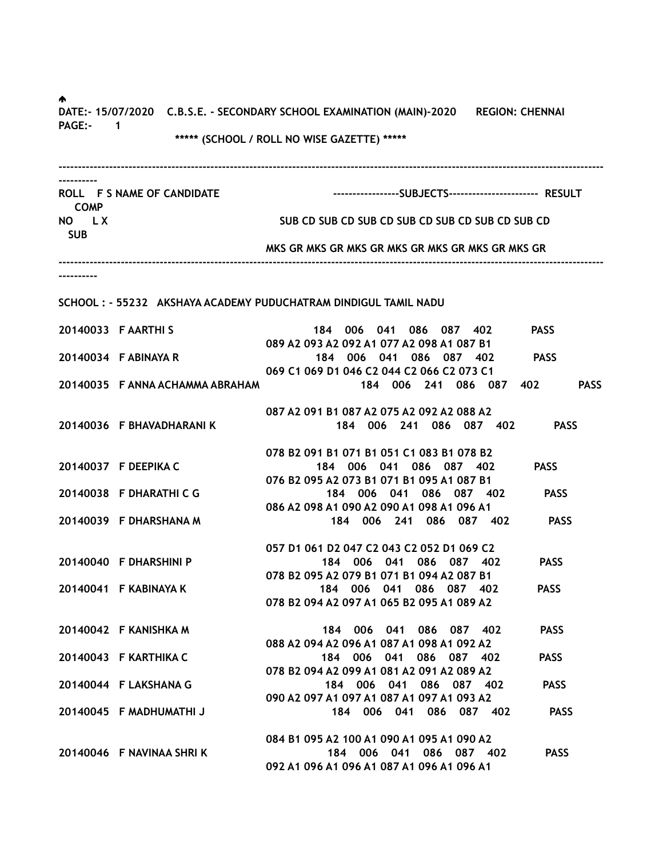♠. DATE:- 15/07/2020 C.B.S.E. - SECONDARY SCHOOL EXAMINATION (MAIN)-2020 REGION: CHENNAI PAGE:- 1 \*\*\*\*\* (SCHOOL / ROLL NO WISE GAZETTE) \*\*\*\*\* -------------------------------------------------------------------------------------------------------------------------------------------- ---------- ROLL F S NAME OF CANDIDATE ------------------------SUBJECTS----------------------- RESULT COMP NO LX SUB CD SUB CD SUB CD SUB CD SUB CD SUB CD SUB CD SUB CD SUB CD SUB CD SUB MKS GR MKS GR MKS GR MKS GR MKS GR MKS GR MKS GR -------------------------------------------------------------------------------------------------------------------------------------------- ---------- SCHOOL : - 55232 AKSHAYA ACADEMY PUDUCHATRAM DINDIGUL TAMIL NADU 20140033 F AARTHI S 184 006 041 086 087 402 PASS 089 A2 093 A2 092 A1 077 A2 098 A1 087 B1 20140034 F ABINAYA R 184 006 041 086 087 402 PASS 069 C1 069 D1 046 C2 044 C2 066 C2 073 C1 20140035 F ANNA ACHAMMA ABRAHAM 184 006 241 086 087 402 PASS 087 A2 091 B1 087 A2 075 A2 092 A2 088 A2 20140036 F BHAVADHARANI K 184 006 241 086 087 402 PASS 078 B2 091 B1 071 B1 051 C1 083 B1 078 B2 20140037 F DEEPIKA C 184 006 041 086 087 402 PASS 076 B2 095 A2 073 B1 071 B1 095 A1 087 B1 20140038 F DHARATHI C G 184 006 041 086 087 402 PASS 086 A2 098 A1 090 A2 090 A1 098 A1 096 A1 20140039 F DHARSHANA M 184 006 241 086 087 402 PASS 057 D1 061 D2 047 C2 043 C2 052 D1 069 C2 20140040 F DHARSHINI P 184 006 041 086 087 402 PASS 078 B2 095 A2 079 B1 071 B1 094 A2 087 B1 20140041 F KABINAYA K 184 006 041 086 087 402 PASS 078 B2 094 A2 097 A1 065 B2 095 A1 089 A2 20140042 F KANISHKA M 184 006 041 086 087 402 PASS 088 A2 094 A2 096 A1 087 A1 098 A1 092 A2 20140043 F KARTHIKA C 184 006 041 086 087 402 PASS 078 B2 094 A2 099 A1 081 A2 091 A2 089 A2 20140044 F LAKSHANA G 184 006 041 086 087 402 PASS 090 A2 097 A1 097 A1 087 A1 097 A1 093 A2 20140045 F MADHUMATHI J 184 006 041 086 087 402 PASS 084 B1 095 A2 100 A1 090 A1 095 A1 090 A2 20140046 F NAVINAA SHRI K 184 006 041 086 087 402 PASS 092 A1 096 A1 096 A1 087 A1 096 A1 096 A1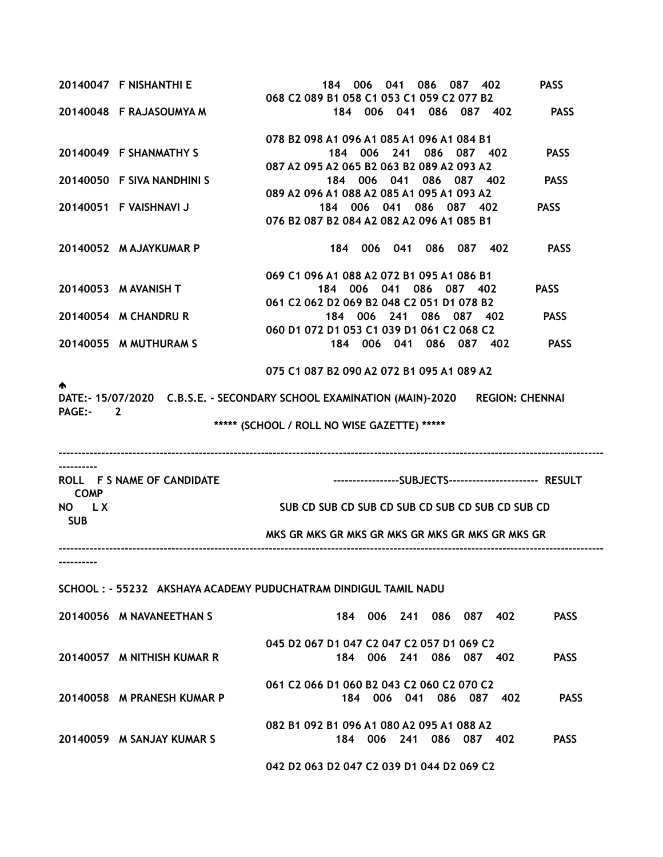|                     | 20140047 F NISHANTHI E     | 006 041 086 087 402<br><b>PASS</b><br>184                                                                                                                   |  |
|---------------------|----------------------------|-------------------------------------------------------------------------------------------------------------------------------------------------------------|--|
|                     | 20140048 F RAJASOUMYA M    | 068 C2 089 B1 058 C1 053 C1 059 C2 077 B2<br>184 006 041 086 087 402<br><b>PASS</b>                                                                         |  |
|                     | 20140049 F SHANMATHY S     | 078 B2 098 A1 096 A1 085 A1 096 A1 084 B1<br>184 006 241 086 087 402<br><b>PASS</b>                                                                         |  |
|                     | 20140050 F SIVA NANDHINI S | 087 A2 095 A2 065 B2 063 B2 089 A2 093 A2<br>184 006 041 086 087 402<br><b>PASS</b>                                                                         |  |
|                     | 20140051 F VAISHNAVI J     | 089 A2 096 A1 088 A2 085 A1 095 A1 093 A2<br><b>PASS</b><br>184 006 041 086 087 402<br>076 B2 087 B2 084 A2 082 A2 096 A1 085 B1                            |  |
|                     | 20140052 M AJAYKUMAR P     | <b>PASS</b><br>184 006 041 086 087 402                                                                                                                      |  |
|                     | 20140053 M AVANISH T       | 069 C1 096 A1 088 A2 072 B1 095 A1 086 B1<br>184 006 041 086 087 402<br><b>PASS</b><br>061 C2 062 D2 069 B2 048 C2 051 D1 078 B2                            |  |
|                     | 20140054 M CHANDRU R       | 184 006 241 086 087 402<br><b>PASS</b><br>060 D1 072 D1 053 C1 039 D1 061 C2 068 C2                                                                         |  |
|                     | 20140055 M MUTHURAM S      | 184 006 041 086 087 402<br><b>PASS</b>                                                                                                                      |  |
| <b>PAGE:-</b>       | $\overline{2}$             | 075 C1 087 B2 090 A2 072 B1 095 A1 089 A2<br>DATE:- 15/07/2020 C.B.S.E. - SECONDARY SCHOOL EXAMINATION (MAIN)-2020 REGION: CHENNAI                          |  |
|                     |                            | ***** (SCHOOL / ROLL NO WISE GAZETTE) *****                                                                                                                 |  |
| <b>COMP</b>         | ROLL F S NAME OF CANDIDATE |                                                                                                                                                             |  |
| NO LX<br><b>SUB</b> |                            | SUB CD SUB CD SUB CD SUB CD SUB CD SUB CD SUB CD                                                                                                            |  |
|                     |                            | MKS GR MKS GR MKS GR MKS GR MKS GR MKS GR MKS GR                                                                                                            |  |
|                     | 20140056 M NAVANEETHAN S   | SCHOOL: - 55232 AKSHAYA ACADEMY PUDUCHATRAM DINDIGUL TAMIL NADU<br>184 006 241 086 087 402<br><b>PASS</b>                                                   |  |
|                     | 20140057 M NITHISH KUMAR R | 045 D2 067 D1 047 C2 047 C2 057 D1 069 C2<br>184 006 241 086 087 402<br><b>PASS</b>                                                                         |  |
|                     | 20140058 M PRANESH KUMAR P | 061 C <sub>2</sub> 066 D <sub>1</sub> 060 B <sub>2</sub> 043 C <sub>2</sub> 060 C <sub>2</sub> 070 C <sub>2</sub><br>184 006 041 086 087 402<br><b>PASS</b> |  |
|                     | 20140059 M SANJAY KUMAR S  | 082 B1 092 B1 096 A1 080 A2 095 A1 088 A2<br>184 006 241 086 087 402<br><b>PASS</b>                                                                         |  |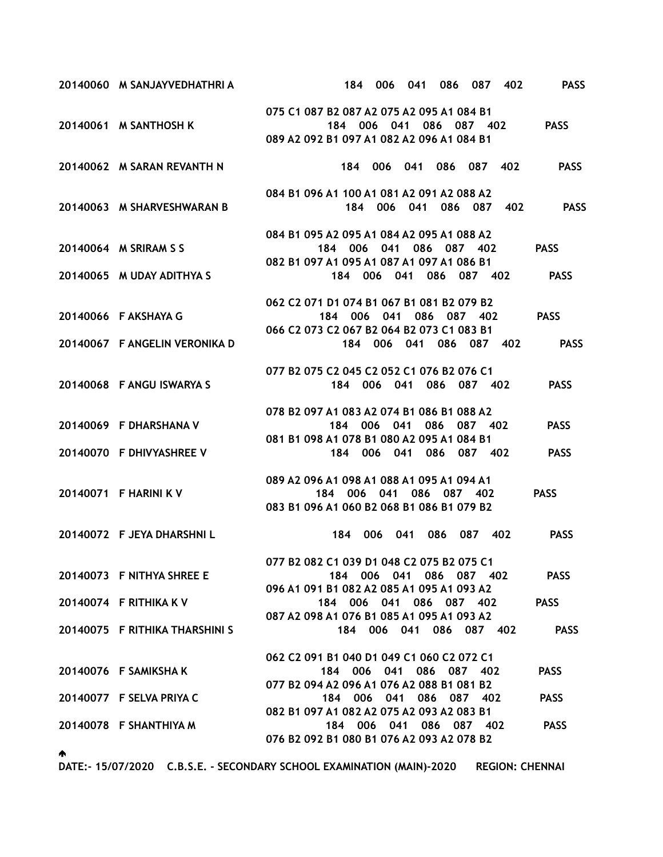| 20140060 M SANJAYVEDHATHRI A   | 184 006 041 086 087 402                                                                                                                                                                        | <b>PASS</b> |
|--------------------------------|------------------------------------------------------------------------------------------------------------------------------------------------------------------------------------------------|-------------|
| 20140061 M SANTHOSH K          | 075 C1 087 B2 087 A2 075 A2 095 A1 084 B1<br>184 006 041 086 087 402 PASS                                                                                                                      |             |
|                                | 089 A2 092 B1 097 A1 082 A2 096 A1 084 B1                                                                                                                                                      |             |
| 20140062 M SARAN REVANTH N     | 184 006 041 086 087 402 PASS                                                                                                                                                                   |             |
| 20140063 M SHARVESHWARAN B     | 084 B1 096 A1 100 A1 081 A2 091 A2 088 A2<br>184 006 041 086 087 402 PASS                                                                                                                      |             |
| 20140064 M SRIRAM S S          | 084 B1 095 A2 095 A1 084 A2 095 A1 088 A2<br>184 006 041 086 087 402 PASS<br>082 B1 097 A1 095 A1 087 A1 097 A1 086 B1                                                                         |             |
| 20140065 M UDAY ADITHYA S      | 184 006 041 086 087 402 PASS                                                                                                                                                                   |             |
| 20140066 F AKSHAYA G           | 062 C <sub>2</sub> 071 D <sub>1</sub> 074 B <sub>1</sub> 067 B <sub>1</sub> 081 B <sub>2</sub> 079 B <sub>2</sub><br>184 006 041 086 087 402 PASS<br>066 C2 073 C2 067 B2 064 B2 073 C1 083 B1 |             |
| 20140067 F ANGELIN VERONIKA D  | 184 006 041 086 087 402 PASS                                                                                                                                                                   |             |
| 20140068 FANGU ISWARYA S       | 077 B2 075 C2 045 C2 052 C1 076 B2 076 C1<br>184 006 041 086 087 402                                                                                                                           | <b>PASS</b> |
| 20140069 F DHARSHANA V         | 078 B2 097 A1 083 A2 074 B1 086 B1 088 A2<br>184 006 041 086 087 402                                                                                                                           | <b>PASS</b> |
| 20140070 F DHIVYASHREE V       | 081 B1 098 A1 078 B1 080 A2 095 A1 084 B1<br>184 006 041 086 087 402 PASS                                                                                                                      |             |
| 20140071 F HARINI K V          | 089 A2 096 A1 098 A1 088 A1 095 A1 094 A1<br>184 006 041 086 087 402<br>083 B1 096 A1 060 B2 068 B1 086 B1 079 B2                                                                              | <b>PASS</b> |
| 20140072 F JEYA DHARSHNIL      | 184 006 041 086 087 402                                                                                                                                                                        | <b>PASS</b> |
| 20140073 F NITHYA SHREE E      | 077 B2 082 C1 039 D1 048 C2 075 B2 075 C1<br>184 006 041 086 087 402<br>096 A1 091 B1 082 A2 085 A1 095 A1 093 A2                                                                              | <b>PASS</b> |
| 20140074 F RITHIKA K V         | 184 006 041 086 087 402<br>087 A2 098 A1 076 B1 085 A1 095 A1 093 A2                                                                                                                           | <b>PASS</b> |
| 20140075 F RITHIKA THARSHINI S | 184 006 041 086 087 402                                                                                                                                                                        | <b>PASS</b> |
| 20140076 F SAMIKSHA K          | 062 C2 091 B1 040 D1 049 C1 060 C2 072 C1<br>184 006 041 086 087 402<br>077 B2 094 A2 096 A1 076 A2 088 B1 081 B2                                                                              | <b>PASS</b> |
| 20140077 F SELVA PRIYA C       | 184 006 041 086 087 402                                                                                                                                                                        | <b>PASS</b> |
| 20140078 F SHANTHIYA M         | 082 B1 097 A1 082 A2 075 A2 093 A2 083 B1<br>184 006 041 086 087 402<br>076 B2 092 B1 080 B1 076 A2 093 A2 078 B2                                                                              | <b>PASS</b> |

DATE:- 15/07/2020 C.B.S.E. - SECONDARY SCHOOL EXAMINATION (MAIN)-2020 REGION: CHENNAI

♠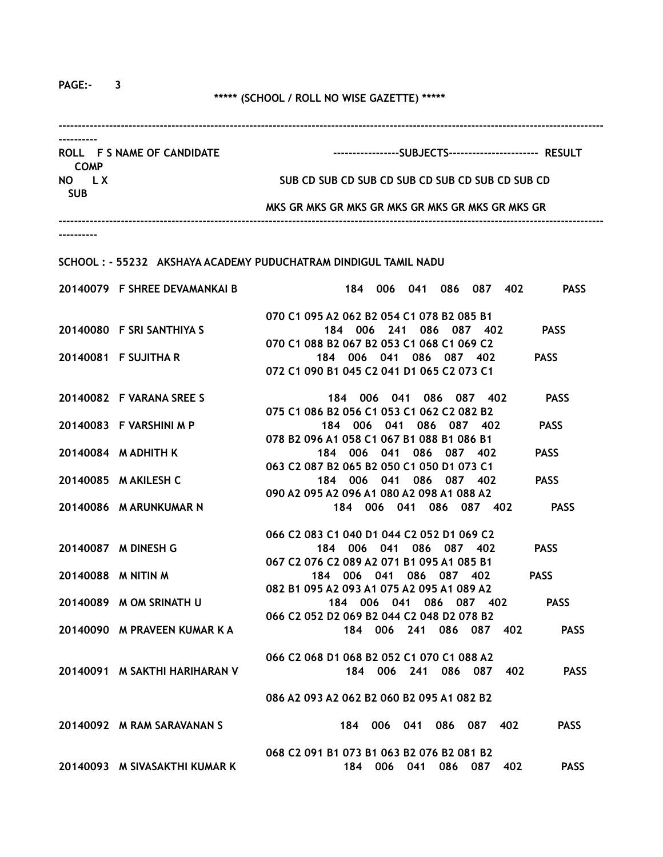PAGE:- 3

## \*\*\*\*\* (SCHOOL / ROLL NO WISE GAZETTE) \*\*\*\*\*

| ROLL F S NAME OF CANDIDATE<br><b>COMP</b> |                                                                 | -----------------SUBJECTS----------------------- RESULT |                                                                      |             |  |  |
|-------------------------------------------|-----------------------------------------------------------------|---------------------------------------------------------|----------------------------------------------------------------------|-------------|--|--|
| NO LX<br><b>SUB</b>                       |                                                                 |                                                         | SUB CD SUB CD SUB CD SUB CD SUB CD SUB CD SUB CD                     |             |  |  |
|                                           |                                                                 |                                                         | MKS GR MKS GR MKS GR MKS GR MKS GR MKS GR MKS GR                     |             |  |  |
|                                           |                                                                 |                                                         |                                                                      |             |  |  |
|                                           | SCHOOL: - 55232 AKSHAYA ACADEMY PUDUCHATRAM DINDIGUL TAMIL NADU |                                                         |                                                                      |             |  |  |
|                                           | 20140079 F SHREE DEVAMANKAI B                                   |                                                         | 184 006 041 086 087 402 PASS                                         |             |  |  |
|                                           |                                                                 |                                                         | 070 C1 095 A2 062 B2 054 C1 078 B2 085 B1                            |             |  |  |
|                                           | 20140080 F SRI SANTHIYA S                                       |                                                         | 184 006 241 086 087 402                                              | <b>PASS</b> |  |  |
|                                           | 20140081 F SUJITHA R                                            |                                                         | 070 C1 088 B2 067 B2 053 C1 068 C1 069 C2<br>184 006 041 086 087 402 | <b>PASS</b> |  |  |
|                                           |                                                                 |                                                         | 072 C1 090 B1 045 C2 041 D1 065 C2 073 C1                            |             |  |  |
|                                           | 20140082 F VARANA SREE S                                        |                                                         | 184 006 041 086 087 402<br>075 C1 086 B2 056 C1 053 C1 062 C2 082 B2 | <b>PASS</b> |  |  |
|                                           | 20140083 F VARSHINI M P                                         |                                                         | 184 006 041 086 087 402<br>078 B2 096 A1 058 C1 067 B1 088 B1 086 B1 | <b>PASS</b> |  |  |
|                                           | 20140084 M ADHITH K                                             |                                                         | 184 006 041 086 087 402<br>063 C2 087 B2 065 B2 050 C1 050 D1 073 C1 | <b>PASS</b> |  |  |
|                                           | 20140085 M AKILESH C                                            |                                                         | 184 006 041 086 087 402<br>090 A2 095 A2 096 A1 080 A2 098 A1 088 A2 | <b>PASS</b> |  |  |
|                                           | 20140086 M ARUNKUMAR N                                          |                                                         | 184 006 041 086 087 402                                              | <b>PASS</b> |  |  |
|                                           |                                                                 |                                                         | 066 C2 083 C1 040 D1 044 C2 052 D1 069 C2                            |             |  |  |
|                                           | 20140087 M DINESH G                                             |                                                         | 184 006 041 086 087 402<br>067 C2 076 C2 089 A2 071 B1 095 A1 085 B1 | <b>PASS</b> |  |  |
|                                           | 20140088 M NITIN M                                              |                                                         | 184 006 041 086 087 402                                              | <b>PASS</b> |  |  |
|                                           |                                                                 |                                                         | 082 B1 095 A2 093 A1 075 A2 095 A1 089 A2                            |             |  |  |
|                                           | 20140089 M OM SRINATH U                                         |                                                         | 184 006 041 086 087 402 PASS                                         |             |  |  |
|                                           | 20140090 M PRAVEEN KUMAR K A                                    |                                                         | 066 C2 052 D2 069 B2 044 C2 048 D2 078 B2<br>184 006 241 086 087 402 | <b>PASS</b> |  |  |
|                                           |                                                                 |                                                         | 066 C2 068 D1 068 B2 052 C1 070 C1 088 A2                            |             |  |  |
|                                           | 20140091 M SAKTHI HARIHARAN V                                   |                                                         | 184 006 241 086 087<br>402                                           | <b>PASS</b> |  |  |
|                                           |                                                                 |                                                         | 086 A2 093 A2 062 B2 060 B2 095 A1 082 B2                            |             |  |  |
|                                           | 20140092 M RAM SARAVANAN S                                      | 184                                                     | 006 041 086 087<br>402                                               | <b>PASS</b> |  |  |
|                                           |                                                                 |                                                         | 068 C2 091 B1 073 B1 063 B2 076 B2 081 B2                            |             |  |  |
|                                           | 20140093 M SIVASAKTHI KUMAR K                                   |                                                         | 184 006 041 086 087<br>402                                           | <b>PASS</b> |  |  |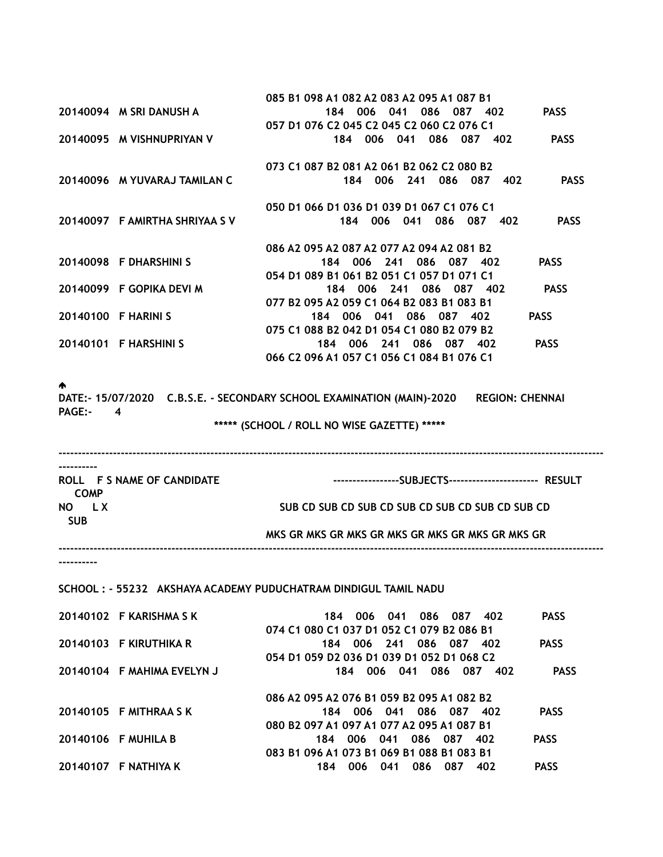|                     |                                | 085 B1 098 A1 082 A2 083 A2 095 A1 087 B1 |             |                         |             |
|---------------------|--------------------------------|-------------------------------------------|-------------|-------------------------|-------------|
|                     | 20140094 M SRI DANUSH A        | 184                                       | 006<br>041  | 086<br>087 402          | <b>PASS</b> |
|                     |                                | 057 D1 076 C2 045 C2 045 C2 060 C2 076 C1 |             |                         |             |
|                     | 20140095 M VISHNUPRIYAN V      | 184                                       | 006 041     | 086<br>087 402          | <b>PASS</b> |
|                     |                                | 073 C1 087 B2 081 A2 061 B2 062 C2 080 B2 |             |                         |             |
|                     | 20140096 M YUVARAJ TAMILAN C   | 184                                       | 006 241     | 086 -<br>087 402        | <b>PASS</b> |
|                     |                                | 050 D1 066 D1 036 D1 039 D1 067 C1 076 C1 |             |                         |             |
|                     | 20140097 F AMIRTHA SHRIYAA S V | 184                                       | 006<br>041  | 086<br>087<br>402       | <b>PASS</b> |
|                     |                                | 086 A2 095 A2 087 A2 077 A2 094 A2 081 B2 |             |                         |             |
|                     | 20140098 F DHARSHINI S         |                                           |             | 184 006 241 086 087 402 | <b>PASS</b> |
|                     |                                | 054 D1 089 B1 061 B2 051 C1 057 D1 071 C1 |             |                         |             |
|                     | 20140099 F GOPIKA DEVI M       |                                           | 184 006 241 | 086<br>087 402          | <b>PASS</b> |
|                     |                                | 077 B2 095 A2 059 C1 064 B2 083 B1 083 B1 |             |                         |             |
| 20140100 F HARINI S |                                | 184                                       | 006 041     | 086<br>087<br>402       | <b>PASS</b> |
|                     |                                | 075 C1 088 B2 042 D1 054 C1 080 B2 079 B2 |             |                         |             |
|                     | 20140101 F HARSHINI S          |                                           |             | 184 006 241 086 087 402 | <b>PASS</b> |
|                     |                                | 066 C2 096 A1 057 C1 056 C1 084 B1 076 C1 |             |                         |             |

#### ♠

DATE:- 15/07/2020 C.B.S.E. - SECONDARY SCHOOL EXAMINATION (MAIN)-2020 REGION: CHENNAI PAGE:- 4

\*\*\*\*\* (SCHOOL / ROLL NO WISE GAZETTE) \*\*\*\*\*

| ROLL F S NAME OF CANDIDATE |                                                  |
|----------------------------|--------------------------------------------------|
| <b>COMP</b>                |                                                  |
| NO.<br>LX.                 | SUB CD SUB CD SUB CD SUB CD SUB CD SUB CD SUB CD |
| <b>SUB</b>                 |                                                  |
|                            | MKS GR MKS GR MKS GR MKS GR MKS GR MKS GR MKS GR |
|                            |                                                  |

----------

## SCHOOL : - 55232 AKSHAYA ACADEMY PUDUCHATRAM DINDIGUL TAMIL NADU

| 20140102 F KARISHMA S K    | <b>PASS</b><br>086 087 402<br>006 041<br>184          |
|----------------------------|-------------------------------------------------------|
|                            | 074 C1 080 C1 037 D1 052 C1 079 B2 086 B1             |
| 20140103 F KIRUTHIKA R     | <b>PASS</b><br>184 006 241 086 087<br>-402            |
|                            | 054 D1 059 D2 036 D1 039 D1 052 D1 068 C2             |
| 20140104 F MAHIMA EVELYN J | <b>PASS</b><br>006 041<br>086 087<br>184<br>402       |
|                            |                                                       |
|                            | 086 A2 095 A2 076 B1 059 B2 095 A1 082 B2             |
| 20140105 F MITHRAA S K     | <b>PASS</b><br>006 041 086 087 402<br>184             |
|                            | 080 B2 097 A1 097 A1 077 A2 095 A1 087 B1             |
| 20140106 F MUHILA B        | <b>PASS</b><br>184 006 041 086 087<br>-402            |
|                            | 083 B1 096 A1 073 B1 069 B1 088 B1 083 B1             |
| 20140107 F NATHIYA K       | <b>PASS</b><br>086<br>402<br>006<br>041<br>087<br>184 |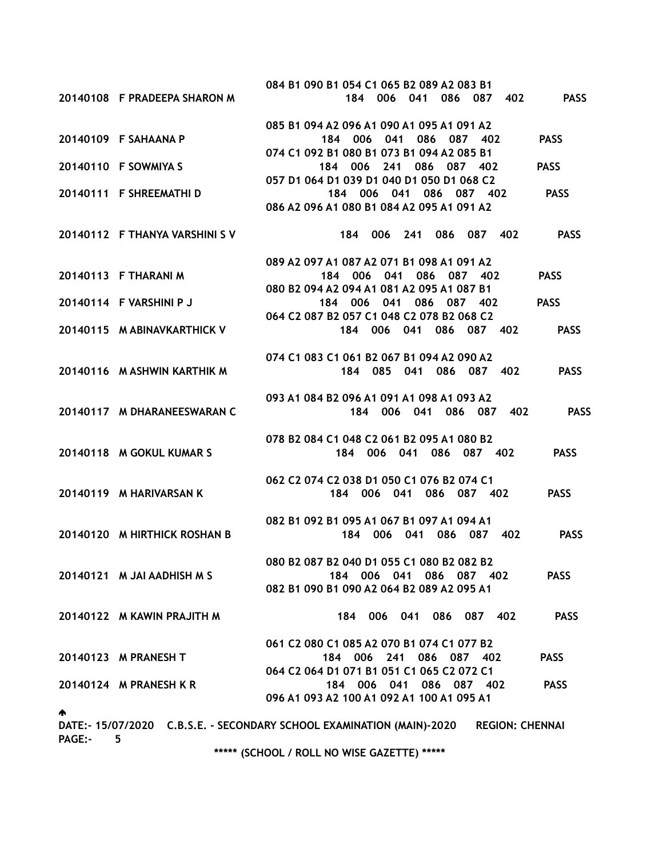|               |                                | 084 B1 090 B1 054 C1 065 B2 089 A2 083 B1                                                       |             |
|---------------|--------------------------------|-------------------------------------------------------------------------------------------------|-------------|
|               | 20140108 F PRADEEPA SHARON M   | 184 006 041 086 087 402                                                                         | <b>PASS</b> |
|               |                                | 085 B1 094 A2 096 A1 090 A1 095 A1 091 A2                                                       |             |
|               | 20140109 F SAHAANA P           | 184 006 041 086 087 402                                                                         | <b>PASS</b> |
|               |                                | 074 C1 092 B1 080 B1 073 B1 094 A2 085 B1                                                       |             |
|               | 20140110 F SOWMIYA S           | 184 006 241 086 087 402                                                                         | <b>PASS</b> |
|               |                                | 057 D1 064 D1 039 D1 040 D1 050 D1 068 C2                                                       |             |
|               | 20140111 F SHREEMATHI D        | 184 006 041 086 087 402                                                                         | <b>PASS</b> |
|               |                                | 086 A2 096 A1 080 B1 084 A2 095 A1 091 A2                                                       |             |
|               | 20140112 F THANYA VARSHINI S V | 184 006 241 086 087 402                                                                         | <b>PASS</b> |
|               |                                |                                                                                                 |             |
|               |                                | 089 A2 097 A1 087 A2 071 B1 098 A1 091 A2                                                       |             |
|               | 20140113 F THARANI M           | 184 006 041 086 087 402                                                                         | <b>PASS</b> |
|               |                                | 080 B2 094 A2 094 A1 081 A2 095 A1 087 B1                                                       |             |
|               | 20140114 F VARSHINI P J        | 184 006 041 086 087 402<br>064 C2 087 B2 057 C1 048 C2 078 B2 068 C2                            | <b>PASS</b> |
|               | 20140115 M ABINAVKARTHICK V    | 184 006 041 086 087 402                                                                         | <b>PASS</b> |
|               |                                |                                                                                                 |             |
|               |                                | 074 C1 083 C1 061 B2 067 B1 094 A2 090 A2                                                       |             |
|               | 20140116 M ASHWIN KARTHIK M    | 184 085 041 086 087 402                                                                         | <b>PASS</b> |
|               |                                |                                                                                                 |             |
|               |                                | 093 A1 084 B2 096 A1 091 A1 098 A1 093 A2                                                       |             |
|               | 20140117 M DHARANEESWARAN C    | 184 006 041 086 087 402 PASS                                                                    |             |
|               |                                | 078 B2 084 C1 048 C2 061 B2 095 A1 080 B2                                                       |             |
|               | 20140118 M GOKUL KUMAR S       | 184 006 041 086 087 402                                                                         | <b>PASS</b> |
|               |                                |                                                                                                 |             |
|               |                                | 062 C2 074 C2 038 D1 050 C1 076 B2 074 C1                                                       |             |
|               | 20140119 M HARIVARSAN K        | 184 006 041 086 087 402                                                                         | <b>PASS</b> |
|               |                                | 082 B1 092 B1 095 A1 067 B1 097 A1 094 A1                                                       |             |
|               | 20140120 M HIRTHICK ROSHAN B   | 184 006 041 086 087 402                                                                         | <b>PASS</b> |
|               |                                |                                                                                                 |             |
|               |                                | 080 B2 087 B2 040 D1 055 C1 080 B2 082 B2                                                       |             |
|               | 20140121 M JAI AADHISH M S     | 184 006 041 086 087 402                                                                         | <b>PASS</b> |
|               |                                | 082 B1 090 B1 090 A2 064 B2 089 A2 095 A1                                                       |             |
|               | 20140122 M KAWIN PRAJITH M     | 184 006 041 086 087 402                                                                         | <b>PASS</b> |
|               |                                |                                                                                                 |             |
|               |                                | 061 C2 080 C1 085 A2 070 B1 074 C1 077 B2                                                       |             |
|               | 20140123 M PRANESH T           | 184 006 241 086 087 402                                                                         | <b>PASS</b> |
|               |                                | 064 C2 064 D1 071 B1 051 C1 065 C2 072 C1                                                       |             |
|               | 20140124 M PRANESH K R         | 184 006 041 086 087 402                                                                         | <b>PASS</b> |
|               |                                | 096 A1 093 A2 100 A1 092 A1 100 A1 095 A1                                                       |             |
| А.            |                                | DATE:- 15/07/2020 C.B.S.E. - SECONDARY SCHOOL EXAMINATION (MAIN)-2020<br><b>REGION: CHENNAI</b> |             |
| <b>PAGE:-</b> | 5.                             |                                                                                                 |             |

\*\*\*\*\* (SCHOOL / ROLL NO WISE GAZETTE) \*\*\*\*\*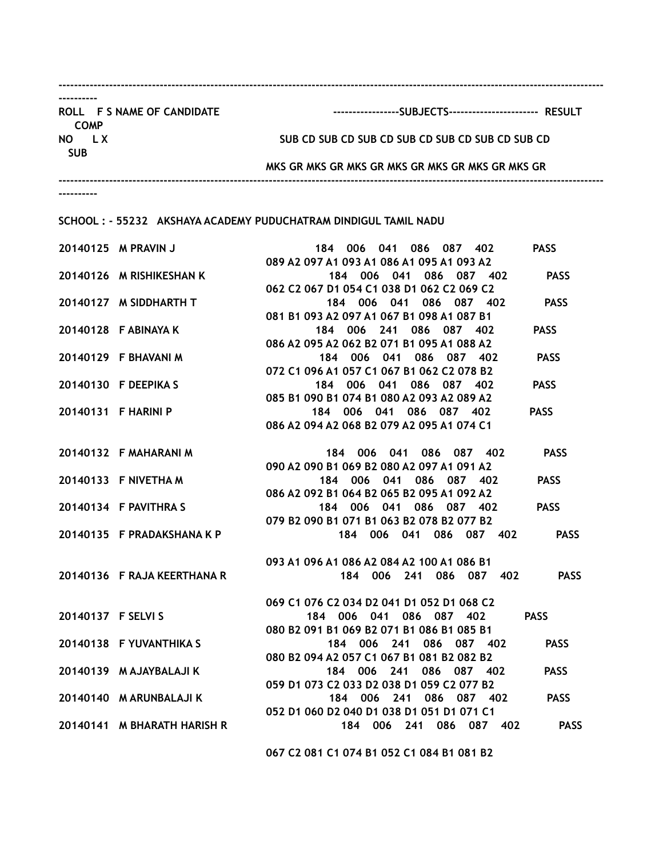| ROLL F S NAME OF CANDIDATE<br><b>COMP</b> | -----------------SUBJECTS----------------------- RESULT                             |
|-------------------------------------------|-------------------------------------------------------------------------------------|
| NO LX<br><b>SUB</b>                       | SUB CD SUB CD SUB CD SUB CD SUB CD SUB CD SUB CD                                    |
|                                           | MKS GR MKS GR MKS GR MKS GR MKS GR MKS GR MKS GR                                    |
|                                           |                                                                                     |
|                                           | SCHOOL: - 55232 AKSHAYA ACADEMY PUDUCHATRAM DINDIGUL TAMIL NADU                     |
| 20140125 M PRAVIN J                       | <b>PASS</b><br>184 006 041 086 087 402<br>089 A2 097 A1 093 A1 086 A1 095 A1 093 A2 |
| 20140126 M RISHIKESHAN K                  | <b>PASS</b><br>184 006 041 086 087 402<br>062 C2 067 D1 054 C1 038 D1 062 C2 069 C2 |
| 20140127 M SIDDHARTH T                    | <b>PASS</b><br>184 006 041 086 087 402<br>081 B1 093 A2 097 A1 067 B1 098 A1 087 B1 |
| 20140128 F ABINAYA K                      | 184 006 241 086 087 402<br><b>PASS</b><br>086 A2 095 A2 062 B2 071 B1 095 A1 088 A2 |
| 20140129 F BHAVANI M                      | 184 006 041 086 087 402<br><b>PASS</b><br>072 C1 096 A1 057 C1 067 B1 062 C2 078 B2 |
| 20140130 F DEEPIKA S                      | 184 006 041 086 087 402<br><b>PASS</b><br>085 B1 090 B1 074 B1 080 A2 093 A2 089 A2 |
| 20140131 F HARINI P                       | 184 006 041 086 087 402<br><b>PASS</b><br>086 A2 094 A2 068 B2 079 A2 095 A1 074 C1 |
| 20140132 F MAHARANI M                     | <b>PASS</b><br>184 006 041 086 087 402<br>090 A2 090 B1 069 B2 080 A2 097 A1 091 A2 |
| 20140133 F NIVETHA M                      | 184 006 041 086 087 402<br><b>PASS</b><br>086 A2 092 B1 064 B2 065 B2 095 A1 092 A2 |
| 20140134 F PAVITHRA S                     | 184 006 041 086 087 402<br><b>PASS</b>                                              |
|                                           | 079 B2 090 B1 071 B1 063 B2 078 B2 077 B2                                           |

20140136 F RAJA KEERTHANA R 184 006 241 086 087 402 PASS

20140137 F SELVI S 184 006 041 086 087 402 PASS

20140138 F YUVANTHIKA S 184 006 241 086 087 402 PASS

20140139 M AJAYBALAJI K 184 006 241 086 087 402 PASS

20140140 M ARUNBALAJI K 184 006 241 086 087 402 PASS

20140141 M BHARATH HARISH R 184 006 241 086 087 402 PASS

067 C2 081 C1 074 B1 052 C1 084 B1 081 B2

069 C1 076 C2 034 D2 041 D1 052 D1 068 C2

080 B2 091 B1 069 B2 071 B1 086 B1 085 B1

080 B2 094 A2 057 C1 067 B1 081 B2 082 B2

059 D1 073 C2 033 D2 038 D1 059 C2 077 B2

052 D1 060 D2 040 D1 038 D1 051 D1 071 C1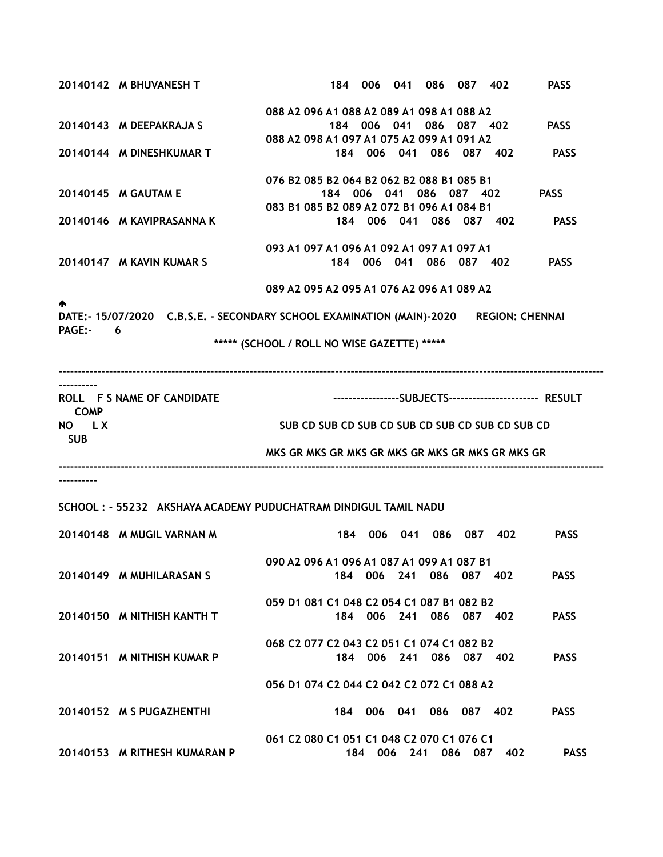|             | 20140142 M BHUVANESH T                                                                |                                                  |  | 184 006 041 086 087 402 |     | <b>PASS</b>                                             |
|-------------|---------------------------------------------------------------------------------------|--------------------------------------------------|--|-------------------------|-----|---------------------------------------------------------|
|             |                                                                                       | 088 A2 096 A1 088 A2 089 A1 098 A1 088 A2        |  |                         |     |                                                         |
|             | 20140143 M DEEPAKRAJA S                                                               |                                                  |  | 184 006 041 086 087 402 |     | <b>PASS</b>                                             |
|             |                                                                                       | 088 A2 098 A1 097 A1 075 A2 099 A1 091 A2        |  |                         |     |                                                         |
|             | 20140144 M DINESHKUMAR T                                                              |                                                  |  | 184 006 041 086 087 402 |     | <b>PASS</b>                                             |
|             |                                                                                       | 076 B2 085 B2 064 B2 062 B2 088 B1 085 B1        |  |                         |     |                                                         |
|             | 20140145 M GAUTAM E                                                                   |                                                  |  | 184 006 041 086 087 402 |     | <b>PASS</b>                                             |
|             |                                                                                       | 083 B1 085 B2 089 A2 072 B1 096 A1 084 B1        |  |                         |     |                                                         |
|             | 20140146 M KAVIPRASANNA K                                                             |                                                  |  | 184 006 041 086 087 402 |     | <b>PASS</b>                                             |
|             |                                                                                       | 093 A1 097 A1 096 A1 092 A1 097 A1 097 A1        |  |                         |     |                                                         |
|             | 20140147 M KAVIN KUMAR S                                                              |                                                  |  | 184 006 041 086 087 402 |     | <b>PASS</b>                                             |
|             |                                                                                       |                                                  |  |                         |     |                                                         |
|             |                                                                                       | 089 A2 095 A2 095 A1 076 A2 096 A1 089 A2        |  |                         |     |                                                         |
| Λ.          |                                                                                       |                                                  |  |                         |     |                                                         |
| PAGE:- 6    | DATE:- 15/07/2020 C.B.S.E. - SECONDARY SCHOOL EXAMINATION (MAIN)-2020 REGION: CHENNAI |                                                  |  |                         |     |                                                         |
|             |                                                                                       | ***** (SCHOOL / ROLL NO WISE GAZETTE) *****      |  |                         |     |                                                         |
|             |                                                                                       |                                                  |  |                         |     |                                                         |
|             |                                                                                       |                                                  |  |                         |     |                                                         |
|             | ROLL F S NAME OF CANDIDATE                                                            |                                                  |  |                         |     | -----------------SUBJECTS----------------------- RESULT |
| <b>COMP</b> |                                                                                       |                                                  |  |                         |     |                                                         |
| NO LX       |                                                                                       | SUB CD SUB CD SUB CD SUB CD SUB CD SUB CD SUB CD |  |                         |     |                                                         |
| <b>SUB</b>  |                                                                                       |                                                  |  |                         |     |                                                         |
|             |                                                                                       | MKS GR MKS GR MKS GR MKS GR MKS GR MKS GR MKS GR |  |                         |     |                                                         |
|             |                                                                                       |                                                  |  |                         |     |                                                         |
|             |                                                                                       |                                                  |  |                         |     |                                                         |
|             | SCHOOL: - 55232 AKSHAYA ACADEMY PUDUCHATRAM DINDIGUL TAMIL NADU                       |                                                  |  |                         |     |                                                         |
|             | 20140148 M MUGIL VARNAN M                                                             |                                                  |  | 184 006 041 086 087 402 |     | <b>PASS</b>                                             |
|             |                                                                                       |                                                  |  |                         |     |                                                         |
|             |                                                                                       | 090 A2 096 A1 096 A1 087 A1 099 A1 087 B1        |  |                         |     |                                                         |
|             | 20140149 M MUHILARASAN S                                                              |                                                  |  | 184 006 241 086 087 402 |     | <b>PASS</b>                                             |
|             |                                                                                       |                                                  |  |                         |     |                                                         |
|             |                                                                                       | 059 D1 081 C1 048 C2 054 C1 087 B1 082 B2        |  |                         |     |                                                         |
|             | 20140150 M NITHISH KANTH T                                                            |                                                  |  | 184 006 241 086 087 402 |     | <b>PASS</b>                                             |
|             |                                                                                       | 068 C2 077 C2 043 C2 051 C1 074 C1 082 B2        |  |                         |     |                                                         |
|             | 20140151 M NITHISH KUMAR P                                                            |                                                  |  | 184 006 241 086 087 402 |     | <b>PASS</b>                                             |
|             |                                                                                       |                                                  |  |                         |     |                                                         |
|             |                                                                                       | 056 D1 074 C2 044 C2 042 C2 072 C1 088 A2        |  |                         |     |                                                         |
|             | 20140152 M S PUGAZHENTHI                                                              |                                                  |  | 184 006 041 086 087 402 |     | <b>PASS</b>                                             |
|             |                                                                                       |                                                  |  |                         |     |                                                         |
|             |                                                                                       | 061 C2 080 C1 051 C1 048 C2 070 C1 076 C1        |  |                         |     |                                                         |
|             | 20140153 M RITHESH KUMARAN P                                                          |                                                  |  | 184 006 241 086 087     | 402 | <b>PASS</b>                                             |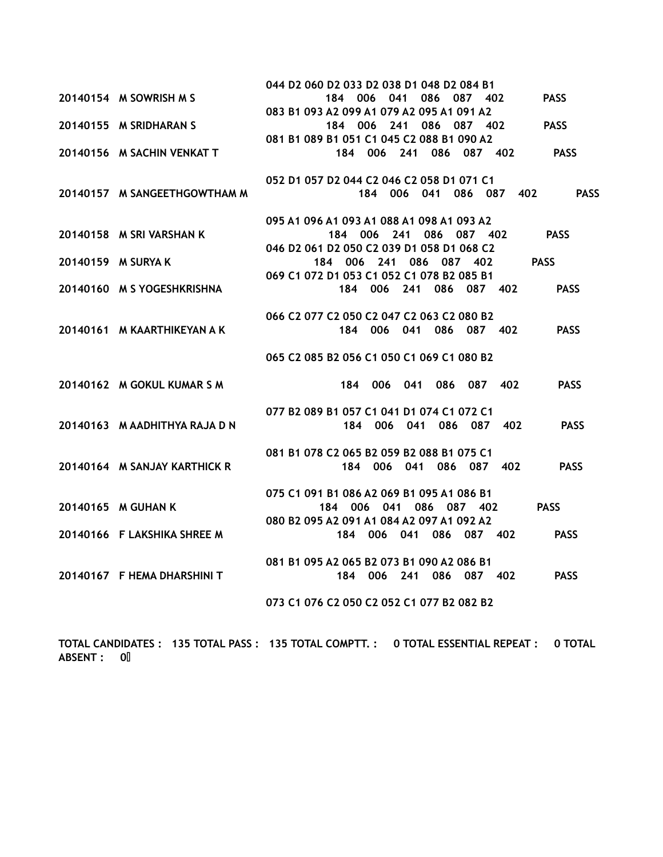|                               | 044 D2 060 D2 033 D2 038 D1 048 D2 084 B1                            |
|-------------------------------|----------------------------------------------------------------------|
| 20140154 M SOWRISH M S        | 184 006 041<br>086 087 402<br><b>PASS</b>                            |
|                               | 083 B1 093 A2 099 A1 079 A2 095 A1 091 A2                            |
| 20140155 M SRIDHARAN S        | 184 006 241 086 087 402<br><b>PASS</b>                               |
|                               | 081 B1 089 B1 051 C1 045 C2 088 B1 090 A2                            |
| 20140156 M SACHIN VENKAT T    | 184 006 241 086 087 402 PASS                                         |
|                               |                                                                      |
|                               | 052 D1 057 D2 044 C2 046 C2 058 D1 071 C1                            |
| 20140157 M SANGEETHGOWTHAM M  | <b>PASS</b><br>184 006 041 086 087 402                               |
|                               |                                                                      |
|                               | 095 A1 096 A1 093 A1 088 A1 098 A1 093 A2                            |
| 20140158 M SRI VARSHAN K      | 184 006 241 086 087 402<br><b>PASS</b>                               |
|                               | 046 D2 061 D2 050 C2 039 D1 058 D1 068 C2<br>184 006 241 086 087 402 |
| 20140159 M SURYA K            | <b>PASS</b><br>069 C1 072 D1 053 C1 052 C1 078 B2 085 B1             |
| 20140160 M S YOGESHKRISHNA    | 184 006 241 086 087 402<br><b>PASS</b>                               |
|                               |                                                                      |
|                               | 066 C2 077 C2 050 C2 047 C2 063 C2 080 B2                            |
| 20140161 M KAARTHIKEYAN A K   | 184 006 041 086 087 402<br><b>PASS</b>                               |
|                               |                                                                      |
|                               | 065 C2 085 B2 056 C1 050 C1 069 C1 080 B2                            |
|                               |                                                                      |
| 20140162 M GOKUL KUMAR S M    | 184 006 041 086 087 402<br><b>PASS</b>                               |
|                               |                                                                      |
|                               | 077 B2 089 B1 057 C1 041 D1 074 C1 072 C1                            |
| 20140163 M AADHITHYA RAJA D N | 184 006 041 086 087 402<br><b>PASS</b>                               |
|                               |                                                                      |
|                               | 081 B1 078 C2 065 B2 059 B2 088 B1 075 C1                            |
| 20140164 M SANJAY KARTHICK R  | 184 006 041 086 087 402<br><b>PASS</b>                               |
|                               | 075 C1 091 B1 086 A2 069 B1 095 A1 086 B1                            |
| 20140165 M GUHAN K            | <b>PASS</b><br>184 006 041 086 087 402                               |
|                               | 080 B2 095 A2 091 A1 084 A2 097 A1 092 A2                            |
| 20140166 F LAKSHIKA SHREE M   | 184 006 041 086 087 402<br><b>PASS</b>                               |
|                               |                                                                      |
|                               | 081 B1 095 A2 065 B2 073 B1 090 A2 086 B1                            |
| 20140167 F HEMA DHARSHINI T   | 006 241 086 087 402<br><b>PASS</b><br>184                            |
|                               |                                                                      |
|                               | 073 C1 076 C2 050 C2 052 C1 077 B2 082 B2                            |

TOTAL CANDIDATES : 135 TOTAL PASS : 135 TOTAL COMPTT. : 0 TOTAL ESSENTIAL REPEAT : 0 TOTAL ABSENT : 0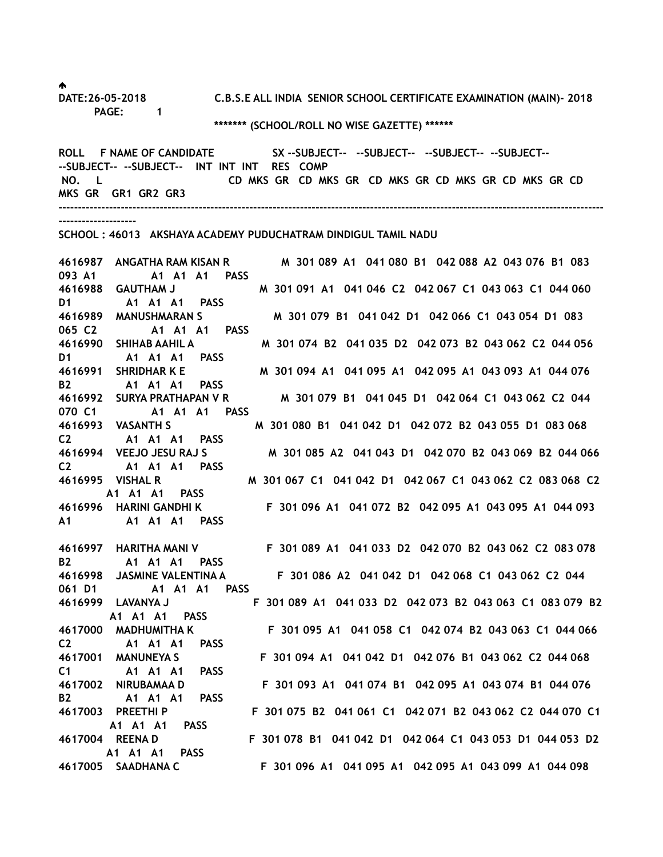DATE:26-05-2018 C.B.S.E ALL INDIA SENIOR SCHOOL CERTIFICATE EXAMINATION (MAIN)- 2018 PAGE: 1 \*\*\*\*\*\*\* (SCHOOL/ROLL NO WISE GAZETTE) \*\*\*\*\*\*

ROLL F NAME OF CANDIDATE SX --SUBJECT-- --SUBJECT-- --SUBJECT-- --SUBJECT----SUBJECT-- --SUBJECT-- INT INT INT RES COMP NO. L CD MKS GR CD MKS GR CD MKS GR CD MKS GR CD MKS GR CD MKS GR GR1 GR2 GR3 --------------------------------------------------------------------------------------------------------------------------------------------

--------------------

SCHOOL : 46013 AKSHAYA ACADEMY PUDUCHATRAM DINDIGUL TAMIL NADU

4616987 ANGATHA RAM KISAN R M 301 089 A1 041 080 B1 042 088 A2 043 076 B1 083 093 A1 A1 A1 A1 PASS 4616988 GAUTHAM J M 301 091 A1 041 046 C2 042 067 C1 043 063 C1 044 060 D1 A1 A1 A1 PASS 4616989 MANUSHMARAN S M 301 079 B1 041 042 D1 042 066 C1 043 054 D1 083 065 C2 A1 A1 A1 PASS 4616990 SHIHAB AAHIL A M 301 074 B2 041 035 D2 042 073 B2 043 062 C2 044 056 D1 A1 A1 A1 PASS 4616991 SHRIDHAR K E M 301 094 A1 041 095 A1 042 095 A1 043 093 A1 044 076 B2 A1 A1 A1 PASS 4616992 SURYA PRATHAPAN V R M 301 079 B1 041 045 D1 042 064 C1 043 062 C2 044 070 C1 A1 A1 A1 PASS 4616993 VASANTH S M 301 080 B1 041 042 D1 042 072 B2 043 055 D1 083 068 C2 A1 A1 A1 PASS 4616994 VEEJO JESU RAJ S M 301 085 A2 041 043 D1 042 070 B2 043 069 B2 044 066 C2 A1 A1 A1 PASS 4616995 VISHAL R M 301 067 C1 041 042 D1 042 067 C1 043 062 C2 083 068 C2 A1 A1 A1 PASS 4616996 HARINI GANDHI K F 301 096 A1 041 072 B2 042 095 A1 043 095 A1 044 093 A1 A1 A1 A1 PASS

B2 A1 A1 A1 PASS 061 D1 A1 A1 A1 PASS A1 A1 A1 PASS C2 A1 A1 A1 PASS C1 A1 A1 A1 PASS B2 A1 A1 A1 PASS A1 A1 A1 PASS A1 A1 A1 PASS

4616997 HARITHA MANI V F 301 089 A1 041 033 D2 042 070 B2 043 062 C2 083 078 4616998 JASMINE VALENTINA A F 301 086 A2 041 042 D1 042 068 C1 043 062 C2 044 4616999 LAVANYA J F 301 089 A1 041 033 D2 042 073 B2 043 063 C1 083 079 B2 4617000 MADHUMITHA K F 301 095 A1 041 058 C1 042 074 B2 043 063 C1 044 066 4617001 MANUNEYA S F 301 094 A1 041 042 D1 042 076 B1 043 062 C2 044 068 4617002 NIRUBAMAA D F 301 093 A1 041 074 B1 042 095 A1 043 074 B1 044 076 4617003 PREETHI P F 301 075 B2 041 061 C1 042 071 B2 043 062 C2 044 070 C1 4617004 REENA D F 301 078 B1 041 042 D1 042 064 C1 043 053 D1 044 053 D2 4617005 SAADHANA C F 301 096 A1 041 095 A1 042 095 A1 043 099 A1 044 098

♠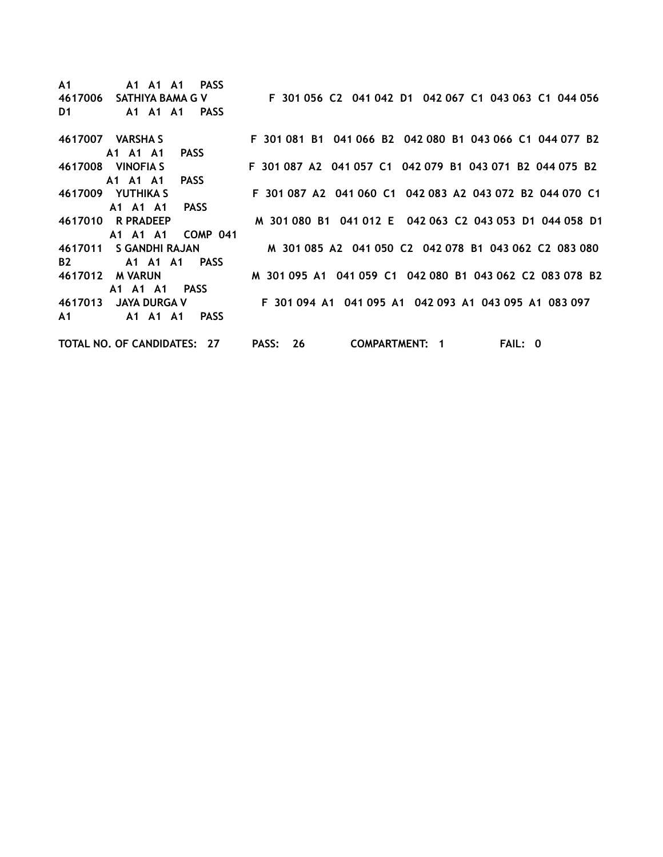A1 A1 A1 A1 PASS 4617006 SATHIYA BAMA G V F 301 056 C2 041 042 D1 042 067 C1 043 063 C1 044 056 D1 A1 A1 A1 PASS 4617007 VARSHA S F 301 081 B1 041 066 B2 042 080 B1 043 066 C1 044 077 B2 A1 A1 A1 PASS 4617008 VINOFIA S F 301 087 A2 041 057 C1 042 079 B1 043 071 B2 044 075 B2 A1 A1 A1 PASS 4617009 YUTHIKA S F 301 087 A2 041 060 C1 042 083 A2 043 072 B2 044 070 C1 A1 A1 A1 PASS 4617010 R PRADEEP M 301 080 B1 041 012 E 042 063 C2 043 053 D1 044 058 D1 A1 A1 A1 COMP 041 4617011 S GANDHI RAJAN M 301 085 A2 041 050 C2 042 078 B1 043 062 C2 083 080 B2 A1 A1 A1 PASS 4617012 M VARUN M 301 095 A1 041 059 C1 042 080 B1 043 062 C2 083 078 B2 A1 A1 A1 PASS 4617013 JAYA DURGA V F 301 094 A1 041 095 A1 042 093 A1 043 095 A1 083 097 A1 A1 A1 A1 PASS TOTAL NO. OF CANDIDATES: 27 PASS: 26 COMPARTMENT: 1 FAIL: 0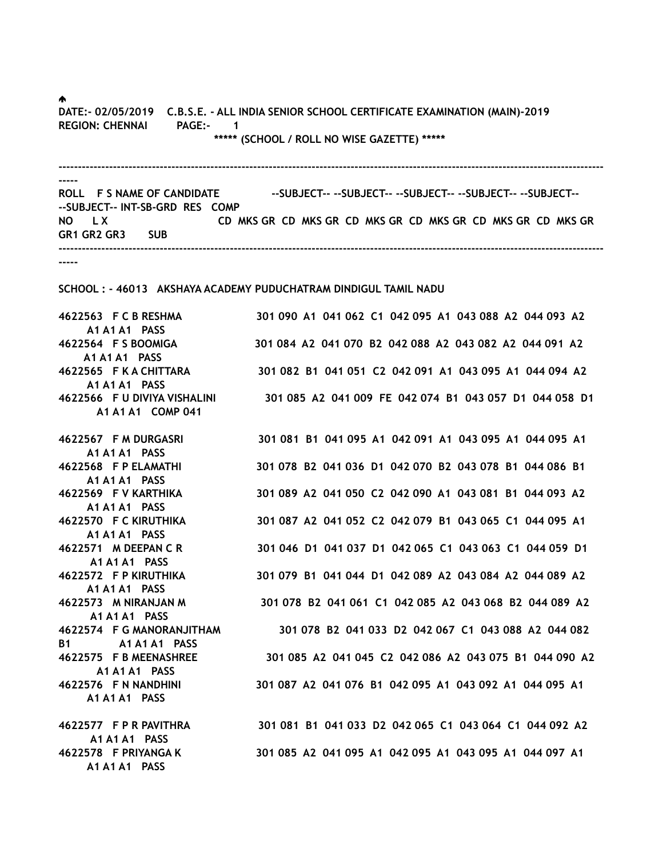♠.

DATE:- 02/05/2019 C.B.S.E. - ALL INDIA SENIOR SCHOOL CERTIFICATE EXAMINATION (MAIN)-2019 REGION: CHENNAI PAGE:- 1 \*\*\*\*\* (SCHOOL / ROLL NO WISE GAZETTE) \*\*\*\*\*

-------------------------------------------------------------------------------------------------------------------------------------------- ----- ROLL F S NAME OF CANDIDATE ---SUBJECT----SUBJECT----SUBJECT----SUBJECT----SUBJECT-----SUBJECT-- INT-SB-GRD RES COMP NO LX CD MKS GR CD MKS GR CD MKS GR CD MKS GR CD MKS GR CD MKS GR CD MKS GR CD MKS GR GR1 GR2 GR3 SUB --------------------------------------------------------------------------------------------------------------------------------------------

-----

A1 A1 A1 PASS

A1 A1 A1 PASS

SCHOOL : - 46013 AKSHAYA ACADEMY PUDUCHATRAM DINDIGUL TAMIL NADU

4622563 F C B RESHMA 301 090 A1 041 062 C1 042 095 A1 043 088 A2 044 093 A2 A1 A1 A1 PASS 4622564 F S BOOMIGA 301 084 A2 041 070 B2 042 088 A2 043 082 A2 044 091 A2 A1 A1 A1 PASS 4622565 F K A CHITTARA 301 082 B1 041 051 C2 042 091 A1 043 095 A1 044 094 A2 A1 A1 A1 PASS 4622566 F U DIVIYA VISHALINI 301 085 A2 041 009 FE 042 074 B1 043 057 D1 044 058 D1 A1 A1 A1 COMP 041 4622567 F M DURGASRI 301 081 B1 041 095 A1 042 091 A1 043 095 A1 044 095 A1 A1 A1 A1 PASS 4622568 F P ELAMATHI 301 078 B2 041 036 D1 042 070 B2 043 078 B1 044 086 B1 A1 A1 A1 PASS 4622569 F V KARTHIKA 301 089 A2 041 050 C2 042 090 A1 043 081 B1 044 093 A2 A1 A1 A1 PASS 4622570 F C KIRUTHIKA 301 087 A2 041 052 C2 042 079 B1 043 065 C1 044 095 A1 A1 A1 A1 PASS 4622571 M DEEPAN C R 301 046 D1 041 037 D1 042 065 C1 043 063 C1 044 059 D1 A1 A1 A1 PASS 4622572 F P KIRUTHIKA 301 079 B1 041 044 D1 042 089 A2 043 084 A2 044 089 A2 A1 A1 A1 PASS 4622573 M NIRANJAN M 301 078 B2 041 061 C1 042 085 A2 043 068 B2 044 089 A2 A1 A1 A1 PASS 4622574 F G MANORANJITHAM 301 078 B2 041 033 D2 042 067 C1 043 088 A2 044 082 B1 A1 A1 A1 PASS 4622575 F B MEENASHREE 301 085 A2 041 045 C2 042 086 A2 043 075 B1 044 090 A2 A1 A1 A1 PASS 4622576 F N NANDHINI 301 087 A2 041 076 B1 042 095 A1 043 092 A1 044 095 A1 A1 A1 A1 PASS

4622577 F P R PAVITHRA 301 081 B1 041 033 D2 042 065 C1 043 064 C1 044 092 A2 4622578 F PRIYANGA K 301 085 A2 041 095 A1 042 095 A1 043 095 A1 044 097 A1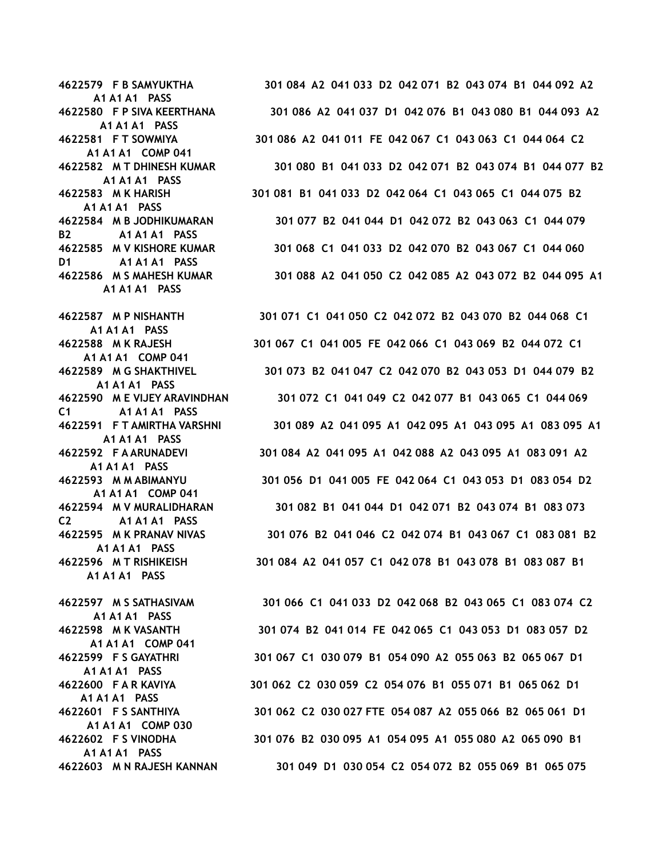A1 A1 A1 PASS A1 A1 A1 PASS A1 A1 A1 COMP 041 A1 A1 A1 PASS A1 A1 A1 PASS B<sub>2</sub> A<sub>1</sub> A<sub>1</sub> A<sub>1</sub> A<sub>1</sub> PASS D1 A1 A1 A1 PASS A1 A1 A1 PASS A1 A1 A1 PASS A1 A1 A1 COMP 041 A1 A1 A1 PASS C1 A1 A1 A1 PASS A1 A1 A1 PASS A1 A1 A1 PASS A1 A1 A1 COMP 041 C2 A1 A1 A1 PASS A1 A1 A1 PASS A1 A1 A1 PASS A1 A1 A1 PASS A1 A1 A1 COMP 041 A1 A1 A1 PASS

A1 A1 A1 PASS

A1 A1 A1 PASS

A1 A1 A1 COMP 030

4622579 F B SAMYUKTHA 301 084 A2 041 033 D2 042 071 B2 043 074 B1 044 092 A2 4622580 F P SIVA KEERTHANA 301 086 A2 041 037 D1 042 076 B1 043 080 B1 044 093 A2 4622581 F T SOWMIYA 301 086 A2 041 011 FE 042 067 C1 043 063 C1 044 064 C2 4622582 M T DHINESH KUMAR 301 080 B1 041 033 D2 042 071 B2 043 074 B1 044 077 B2 4622583 M K HARISH 301 081 B1 041 033 D2 042 064 C1 043 065 C1 044 075 B2 4622584 M B JODHIKUMARAN 301 077 B2 041 044 D1 042 072 B2 043 063 C1 044 079 4622585 M V KISHORE KUMAR 301 068 C1 041 033 D2 042 070 B2 043 067 C1 044 060 4622586 M S MAHESH KUMAR 301 088 A2 041 050 C2 042 085 A2 043 072 B2 044 095 A1

4622587 M P NISHANTH 301 071 C1 041 050 C2 042 072 B2 043 070 B2 044 068 C1 4622588 M K RAJESH 301 067 C1 041 005 FE 042 066 C1 043 069 B2 044 072 C1 4622589 M G SHAKTHIVEL 301 073 B2 041 047 C2 042 070 B2 043 053 D1 044 079 B2 4622590 M E VIJEY ARAVINDHAN 301 072 C1 041 049 C2 042 077 B1 043 065 C1 044 069 4622591 F T AMIRTHA VARSHNI 301 089 A2 041 095 A1 042 095 A1 043 095 A1 083 095 A1 4622592 F A ARUNADEVI 301 084 A2 041 095 A1 042 088 A2 043 095 A1 083 091 A2 4622593 M M ABIMANYU 301 056 D1 041 005 FE 042 064 C1 043 053 D1 083 054 D2 4622594 M V MURALIDHARAN 301 082 B1 041 044 D1 042 071 B2 043 074 B1 083 073 4622595 M K PRANAV NIVAS 301 076 B2 041 046 C2 042 074 B1 043 067 C1 083 081 B2 4622596 M T RISHIKEISH 301 084 A2 041 057 C1 042 078 B1 043 078 B1 083 087 B1

4622597 M S SATHASIVAM 301 066 C1 041 033 D2 042 068 B2 043 065 C1 083 074 C2 4622598 M K VASANTH 301 074 B2 041 014 FE 042 065 C1 043 053 D1 083 057 D2 4622599 F S GAYATHRI 301 067 C1 030 079 B1 054 090 A2 055 063 B2 065 067 D1 4622600 F A R KAVIYA 301 062 C2 030 059 C2 054 076 B1 055 071 B1 065 062 D1 4622601 F S SANTHIYA 301 062 C2 030 027 FTE 054 087 A2 055 066 B2 065 061 D1 4622602 F S VINODHA 301 076 B2 030 095 A1 054 095 A1 055 080 A2 065 090 B1 4622603 M N RAJESH KANNAN 301 049 D1 030 054 C2 054 072 B2 055 069 B1 065 075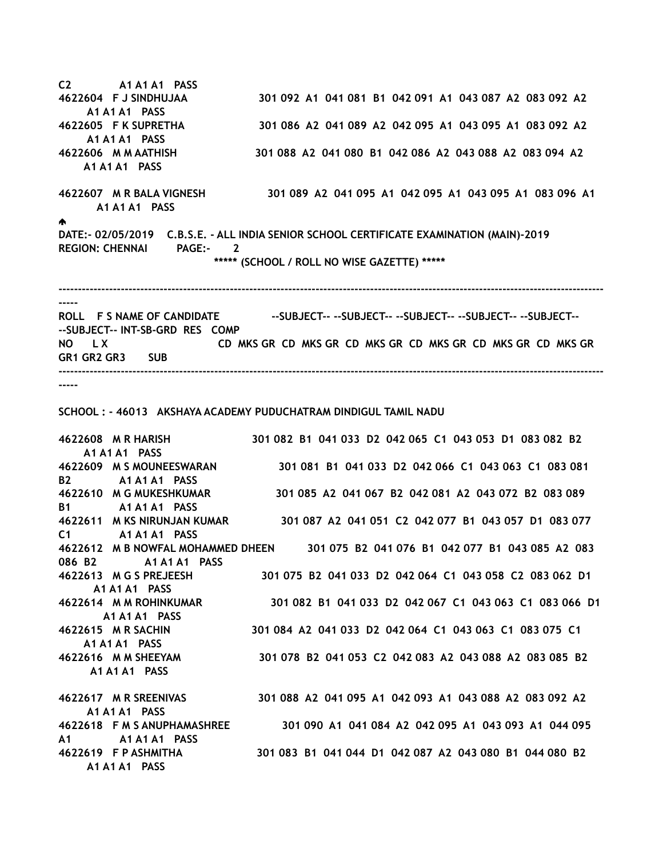C2 A1 A1 A1 PASS 4622604 F J SINDHUJAA 301 092 A1 041 081 B1 042 091 A1 043 087 A2 083 092 A2 A1 A1 A1 PASS 4622605 F K SUPRETHA 301 086 A2 041 089 A2 042 095 A1 043 095 A1 083 092 A2 A1 A1 A1 PASS 4622606 M M AATHISH 301 088 A2 041 080 B1 042 086 A2 043 088 A2 083 094 A2 A1 A1 A1 PASS 4622607 M R BALA VIGNESH 301 089 A2 041 095 A1 042 095 A1 043 095 A1 083 096 A1 A1 A1 A1 PASS ♠ DATE:- 02/05/2019 C.B.S.E. - ALL INDIA SENIOR SCHOOL CERTIFICATE EXAMINATION (MAIN)-2019 REGION: CHENNAI PAGE:- 2 \*\*\*\*\* (SCHOOL / ROLL NO WISE GAZETTE) \*\*\*\*\* -------------------------------------------------------------------------------------------------------------------------------------------- ----- ROLL F S NAME OF CANDIDATE ---SUBJECT----SUBJECT----SUBJECT----SUBJECT----SUBJECT-----SUBJECT-- INT-SB-GRD RES COMP

NO L X CD MKS GR CD MKS GR CD MKS GR CD MKS GR CD MKS GR CD MKS GR GR1 GR2 GR3 SUB --------------------------------------------------------------------------------------------------------------------------------------------

-----

SCHOOL : - 46013 AKSHAYA ACADEMY PUDUCHATRAM DINDIGUL TAMIL NADU

4622608 M R HARISH 301 082 B1 041 033 D2 042 065 C1 043 053 D1 083 082 B2 A1 A1 A1 PASS 4622609 M S MOUNEESWARAN 301 081 B1 041 033 D2 042 066 C1 043 063 C1 083 081 B2 A1 A1 A1 PASS 4622610 M G MUKESHKUMAR 301 085 A2 041 067 B2 042 081 A2 043 072 B2 083 089 B1 A1 A1 A1 PASS 4622611 M KS NIRUNJAN KUMAR 301 087 A2 041 051 C2 042 077 B1 043 057 D1 083 077 C1 A1 A1 A1 PASS 4622612 M B NOWFAL MOHAMMED DHEEN 301 075 B2 041 076 B1 042 077 B1 043 085 A2 083 086 B2 A1 A1 A1 PASS 4622613 M G S PREJEESH 301 075 B2 041 033 D2 042 064 C1 043 058 C2 083 062 D1 A1 A1 A1 PASS 4622614 M M ROHINKUMAR 301 082 B1 041 033 D2 042 067 C1 043 063 C1 083 066 D1 A1 A1 A1 PASS 4622615 M R SACHIN 301 084 A2 041 033 D2 042 064 C1 043 063 C1 083 075 C1 A1 A1 A1 PASS 4622616 M M SHEEYAM 301 078 B2 041 053 C2 042 083 A2 043 088 A2 083 085 B2 A1 A1 A1 PASS 4622617 M R SREENIVAS 301 088 A2 041 095 A1 042 093 A1 043 088 A2 083 092 A2 A1 A1 A1 PASS 4622618 F M S ANUPHAMASHREE 301 090 A1 041 084 A2 042 095 A1 043 093 A1 044 095 A1 A1 A1 A1 PASS 4622619 F P ASHMITHA 301 083 B1 041 044 D1 042 087 A2 043 080 B1 044 080 B2 A1 A1 A1 PASS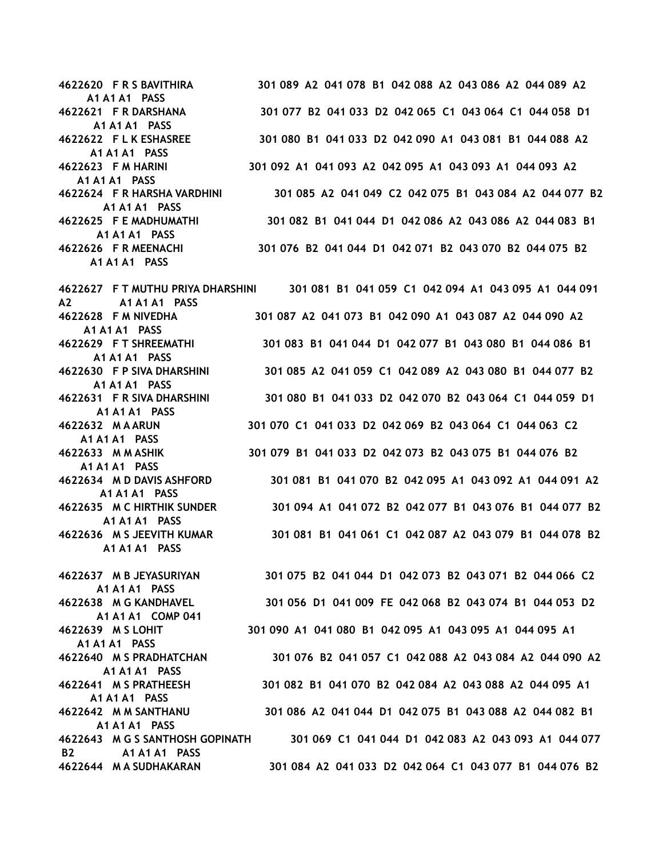A1 A1 A1 PASS A1 A1 A1 PASS A1 A1 A1 PASS A1 A1 A1 PASS A1 A1 A1 PASS A1 A1 A1 PASS A1 A1 A1 PASS

A2 A1 A1 A1 PASS A1 A1 A1 PASS A1 A1 A1 PASS A1 A1 A1 PASS A1 A1 A1 PASS A1 A1 A1 PASS A1 A1 A1 PASS A1 A1 A1 PASS A1 A1 A1 PASS A1 A1 A1 PASS

 A1 A1 A1 PASS A1 A1 A1 COMP 041 A1 A1 A1 PASS A1 A1 A1 PASS A1 A1 A1 PASS A1 A1 A1 PASS B2 A1 A1 A1 PASS

4622620 F R S BAVITHIRA 301 089 A2 041 078 B1 042 088 A2 043 086 A2 044 089 A2 4622621 F R DARSHANA 301 077 B2 041 033 D2 042 065 C1 043 064 C1 044 058 D1 4622622 F L K ESHASREE 301 080 B1 041 033 D2 042 090 A1 043 081 B1 044 088 A2 4622623 F M HARINI 301 092 A1 041 093 A2 042 095 A1 043 093 A1 044 093 A2 4622624 F R HARSHA VARDHINI 301 085 A2 041 049 C2 042 075 B1 043 084 A2 044 077 B2 4622625 F E MADHUMATHI 301 082 B1 041 044 D1 042 086 A2 043 086 A2 044 083 B1 4622626 F R MEENACHI 301 076 B2 041 044 D1 042 071 B2 043 070 B2 044 075 B2

4622627 F T MUTHU PRIYA DHARSHINI 301 081 B1 041 059 C1 042 094 A1 043 095 A1 044 091 4622628 F M NIVEDHA 301 087 A2 041 073 B1 042 090 A1 043 087 A2 044 090 A2 4622629 F T SHREEMATHI 301 083 B1 041 044 D1 042 077 B1 043 080 B1 044 086 B1 4622630 F P SIVA DHARSHINI 301 085 A2 041 059 C1 042 089 A2 043 080 B1 044 077 B2 4622631 F R SIVA DHARSHINI 301 080 B1 041 033 D2 042 070 B2 043 064 C1 044 059 D1 4622632 M A ARUN 301 070 C1 041 033 D2 042 069 B2 043 064 C1 044 063 C2 4622633 M M ASHIK 301 079 B1 041 033 D2 042 073 B2 043 075 B1 044 076 B2 4622634 M D DAVIS ASHFORD 301 081 B1 041 070 B2 042 095 A1 043 092 A1 044 091 A2 4622635 M C HIRTHIK SUNDER 301 094 A1 041 072 B2 042 077 B1 043 076 B1 044 077 B2 4622636 M S JEEVITH KUMAR 301 081 B1 041 061 C1 042 087 A2 043 079 B1 044 078 B2

4622637 M B JEYASURIYAN 301 075 B2 041 044 D1 042 073 B2 043 071 B2 044 066 C2 4622638 M G KANDHAVEL 301 056 D1 041 009 FE 042 068 B2 043 074 B1 044 053 D2 4622639 M S LOHIT 301 090 A1 041 080 B1 042 095 A1 043 095 A1 044 095 A1 4622640 M S PRADHATCHAN 301 076 B2 041 057 C1 042 088 A2 043 084 A2 044 090 A2 4622641 M S PRATHEESH 301 082 B1 041 070 B2 042 084 A2 043 088 A2 044 095 A1 4622642 M M SANTHANU 301 086 A2 041 044 D1 042 075 B1 043 088 A2 044 082 B1 4622643 M G S SANTHOSH GOPINATH 301 069 C1 041 044 D1 042 083 A2 043 093 A1 044 077 4622644 M A SUDHAKARAN 301 084 A2 041 033 D2 042 064 C1 043 077 B1 044 076 B2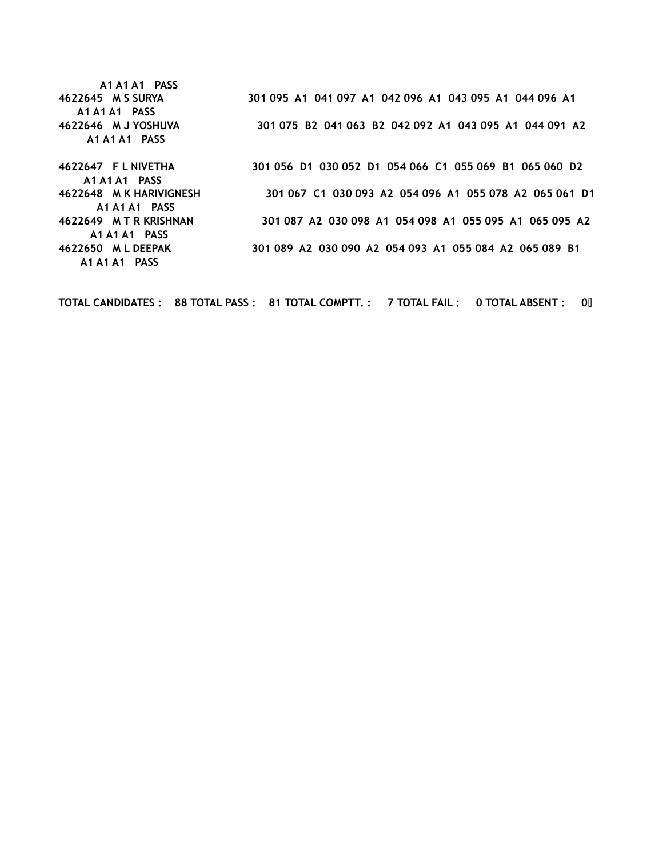A1 A1 A1 PASS A1 A1 A1 PASS A1 A1 A1 PASS A1 A1 A1 PASS A1 A1 A1 PASS A1 A1 A1 PASS

A1 A1 A1 PASS

4622645 M S SURYA 301 095 A1 041 097 A1 042 096 A1 043 095 A1 044 096 A1 4622646 M J YOSHUVA 301 075 B2 041 063 B2 042 092 A1 043 095 A1 044 091 A2

4622647 F L NIVETHA 301 056 D1 030 052 D1 054 066 C1 055 069 B1 065 060 D2 4622648 M K HARIVIGNESH 301 067 C1 030 093 A2 054 096 A1 055 078 A2 065 061 D1 4622649 M T R KRISHNAN 301 087 A2 030 098 A1 054 098 A1 055 095 A1 065 095 A2 4622650 M L DEEPAK 301 089 A2 030 090 A2 054 093 A1 055 084 A2 065 089 B1

TOTAL CANDIDATES : 88 TOTAL PASS : 81 TOTAL COMPTT. : 7 TOTAL FAIL : 0 TOTAL ABSENT : 0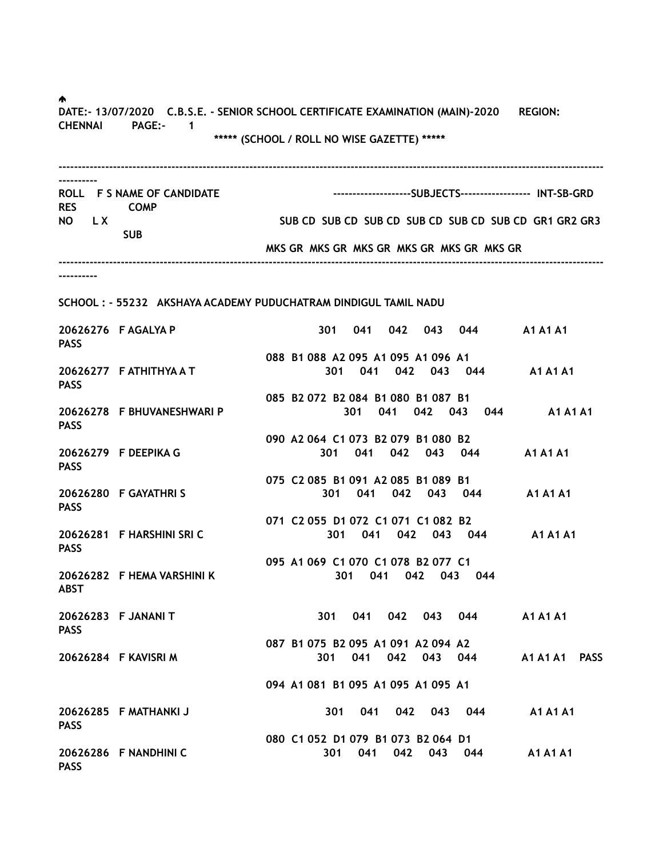♠. DATE:- 13/07/2020 C.B.S.E. - SENIOR SCHOOL CERTIFICATE EXAMINATION (MAIN)-2020 REGION: CHENNAI PAGE:- 1 \*\*\*\*\* (SCHOOL / ROLL NO WISE GAZETTE) \*\*\*\*\* -------------------------------------------------------------------------------------------------------------------------------------------- ---------- ROLL F S NAME OF CANDIDATE -----------------------------SUBJECTS----------------- INT-SB-GRD RES COMP NO LX SUB CD SUB CD SUB CD SUB CD SUB CD SUB CD SUB CD SUB CD GR1 GR2 GR3 SUB MKS GR MKS GR MKS GR MKS GR MKS GR MKS GR -------------------------------------------------------------------------------------------------------------------------------------------- ---------- SCHOOL : - 55232 AKSHAYA ACADEMY PUDUCHATRAM DINDIGUL TAMIL NADU 20626276 F AGALYA P 301 041 042 043 044 A1 A1 A1 PASS 088 B1 088 A2 095 A1 095 A1 096 A1 20626277 F ATHITHYA A T 301 041 042 043 044 A1 A1 A1 PASS 085 B2 072 B2 084 B1 080 B1 087 B1 20626278 F BHUVANESHWARI P 301 041 042 043 044 A1 A1 A1 **PASS**  090 A2 064 C1 073 B2 079 B1 080 B2 20626279 F DEEPIKA G 301 041 042 043 044 A1 A1 A1 **PASS**  075 C2 085 B1 091 A2 085 B1 089 B1 20626280 F GAYATHRI S 301 041 042 043 044 A1 A1 A1 **PASS**  071 C2 055 D1 072 C1 071 C1 082 B2 20626281 F HARSHINI SRI C 301 041 042 043 044 A1 A1 A1 PASS 095 A1 069 C1 070 C1 078 B2 077 C1 20626282 F HEMA VARSHINI K 301 041 042 043 044 ABST 20626283 F JANANI T 301 041 042 043 044 A1 A1 A1 **PASS**  087 B1 075 B2 095 A1 091 A2 094 A2 20626284 F KAVISRI M 301 041 042 043 044 A1 A1 A1 PASS 094 A1 081 B1 095 A1 095 A1 095 A1 20626285 F MATHANKI J 301 041 042 043 044 A1 A1 A1 PASS 080 C1 052 D1 079 B1 073 B2 064 D1 20626286 F NANDHINI C 301 041 042 043 044 A1 A1 A1 **PASS**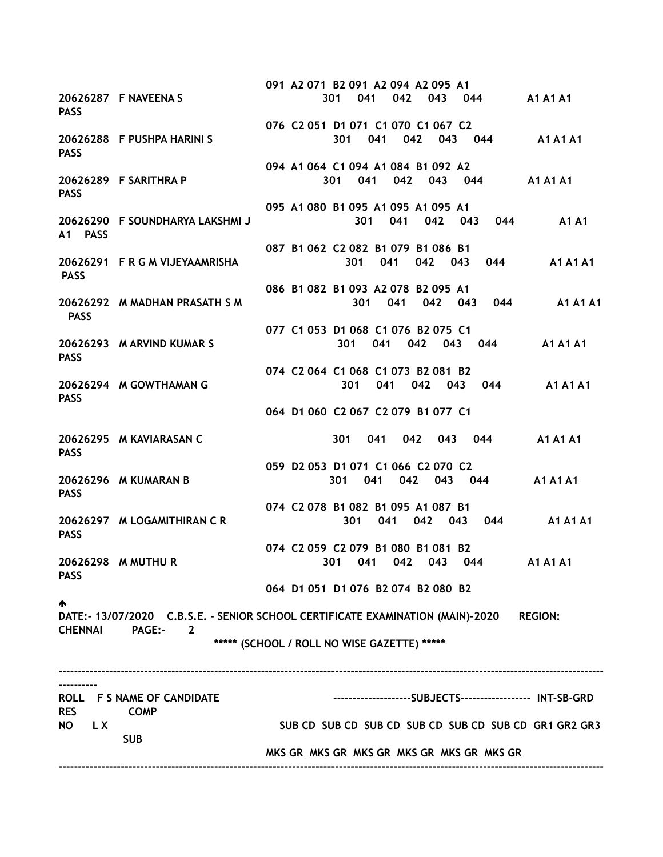091 A2 071 B2 091 A2 094 A2 095 A1 20626287 F NAVEENA S 301 041 042 043 044 A1 A1 A1 PASS 076 C2 051 D1 071 C1 070 C1 067 C2 20626288 F PUSHPA HARINI S 301 041 042 043 044 A1 A1 A1 **PASS**  094 A1 064 C1 094 A1 084 B1 092 A2 20626289 F SARITHRA P 301 041 042 043 044 A1 A1 A1 PASS 095 A1 080 B1 095 A1 095 A1 095 A1 20626290 F SOUNDHARYA LAKSHMI J 301 041 042 043 044 A1 A1 A1 PASS 087 B1 062 C2 082 B1 079 B1 086 B1 20626291 F R G M VIJEYAAMRISHA 301 041 042 043 044 A1 A1 A1 **PASS**  086 B1 082 B1 093 A2 078 B2 095 A1 20626292 M MADHAN PRASATH S M 301 041 042 043 044 A1 A1 A1 PASS 077 C1 053 D1 068 C1 076 B2 075 C1 20626293 M ARVIND KUMAR S 301 041 042 043 044 A1 A1 A1 **PASS**  074 C2 064 C1 068 C1 073 B2 081 B2 20626294 M GOWTHAMAN G 301 041 042 043 044 A1 A1 A1 PASS 064 D1 060 C2 067 C2 079 B1 077 C1 20626295 M KAVIARASAN C 301 041 042 043 044 A1 A1 A1 PASS 059 D2 053 D1 071 C1 066 C2 070 C2 20626296 M KUMARAN B 301 041 042 043 044 A1 A1 A1 PASS 074 C2 078 B1 082 B1 095 A1 087 B1 20626297 M LOGAMITHIRAN C R 301 041 042 043 044 A1 A1 A1 **PASS**  074 C2 059 C2 079 B1 080 B1 081 B2 20626298 M MUTHU R 301 041 042 043 044 A1 A1 A1 **PASS**  064 D1 051 D1 076 B2 074 B2 080 B2 ♠. DATE:- 13/07/2020 C.B.S.E. - SENIOR SCHOOL CERTIFICATE EXAMINATION (MAIN)-2020 REGION: CHENNAI PAGE:- 2 \*\*\*\*\* (SCHOOL / ROLL NO WISE GAZETTE) \*\*\*\*\* -------------------------------------------------------------------------------------------------------------------------------------------- ---------- ROLL F S NAME OF CANDIDATE ---------------------------SUBJECTS------------------ INT-SB-GRD RES COMP NO LX SUB CD SUB CD SUB CD SUB CD SUB CD SUB CD SUB CD SUB CD SUB CD GR1 GR2 GR3 SUB MKS GR MKS GR MKS GR MKS GR MKS GR MKS GR --------------------------------------------------------------------------------------------------------------------------------------------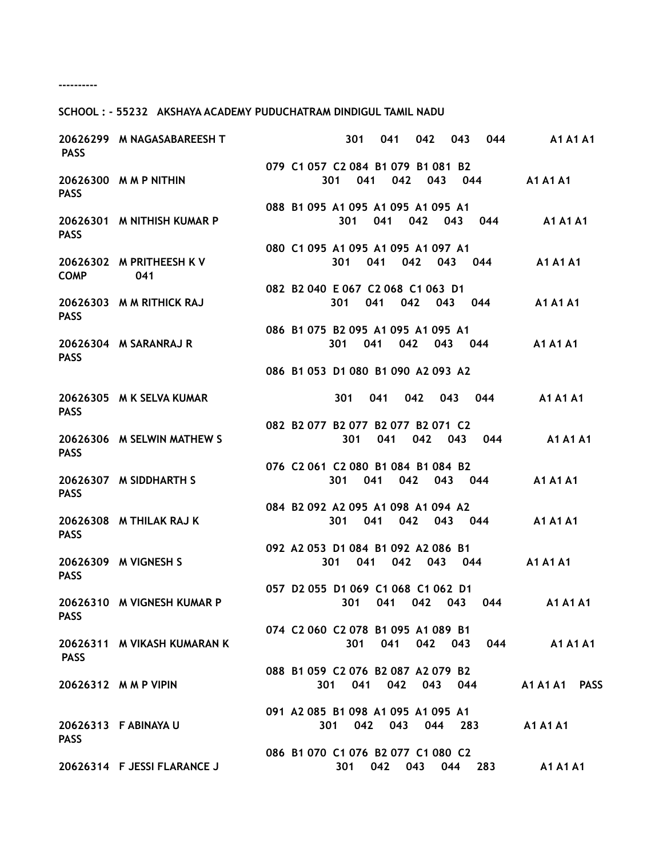----------

## SCHOOL : - 55232 AKSHAYA ACADEMY PUDUCHATRAM DINDIGUL TAMIL NADU

| <b>PASS</b> | 20626299 M NAGASABAREESH T      | 044<br>301<br>041<br>042<br>043                                       | <b>A1 A1 A1</b> |
|-------------|---------------------------------|-----------------------------------------------------------------------|-----------------|
| <b>PASS</b> | 20626300 M M P NITHIN           | 079 C1 057 C2 084 B1 079 B1 081 B2<br>041 042 043 044<br>301          | <b>A1 A1 A1</b> |
| <b>PASS</b> | 20626301 M NITHISH KUMAR P      | 088 B1 095 A1 095 A1 095 A1 095 A1<br>301<br>041 042<br>043<br>044    | <b>A1 A1 A1</b> |
| <b>COMP</b> | 20626302 M PRITHEESH K V<br>041 | 080 C1 095 A1 095 A1 095 A1 097 A1<br>041<br>042<br>043 044<br>301 —  | <b>A1 A1 A1</b> |
| <b>PASS</b> | 20626303 M M RITHICK RAJ        | 082 B2 040 E 067 C2 068 C1 063 D1<br>301<br>041<br>042 043<br>044     | <b>A1 A1 A1</b> |
| <b>PASS</b> | 20626304 M SARANRAJ R           | 086 B1 075 B2 095 A1 095 A1 095 A1<br>042<br>301<br>041<br>043<br>044 | <b>A1 A1 A1</b> |
|             |                                 | 086 B1 053 D1 080 B1 090 A2 093 A2                                    |                 |
| <b>PASS</b> | 20626305 M K SELVA KUMAR        | 041 042<br>044<br>301<br>043                                          | <b>A1 A1 A1</b> |
| <b>PASS</b> | 20626306 M SELWIN MATHEW S      | 082 B2 077 B2 077 B2 077 B2 071 C2<br>041<br>301<br>042 043 044       | <b>A1 A1 A1</b> |
| <b>PASS</b> | 20626307 M SIDDHARTH S          | 076 C2 061 C2 080 B1 084 B1 084 B2<br>301<br>041<br>042<br>043 044    | <b>A1 A1 A1</b> |
| <b>PASS</b> | 20626308 M THILAK RAJ K         | 084 B2 092 A2 095 A1 098 A1 094 A2<br>301<br>041<br>042 043 044       | <b>A1 A1 A1</b> |
| <b>PASS</b> | 20626309 M VIGNESH S            | 092 A2 053 D1 084 B1 092 A2 086 B1<br>041<br>042<br>301<br>043 044    | <b>A1 A1 A1</b> |
| <b>PASS</b> | 20626310 M VIGNESH KUMAR P      | 057 D2 055 D1 069 C1 068 C1 062 D1<br>041<br>301<br>042 043<br>044    | <b>A1 A1 A1</b> |
| <b>PASS</b> | 20626311 M VIKASH KUMARAN K     | 074 C2 060 C2 078 B1 095 A1 089 B1<br>301 041<br>042 043 044          | A1 A1 A1        |
|             | 20626312 M M P VIPIN            | 088 B1 059 C2 076 B2 087 A2 079 B2<br>041<br>042<br>043 044<br>301    | A1 A1 A1 PASS   |
| <b>PASS</b> | 20626313 F ABINAYA U            | 091 A2 085 B1 098 A1 095 A1 095 A1<br>042 043 044 283<br>301          | A1 A1 A1        |
|             | 20626314 F JESSI FLARANCE J     | 086 B1 070 C1 076 B2 077 C1 080 C2<br>042<br>301<br>043<br>044 283    | <b>A1 A1 A1</b> |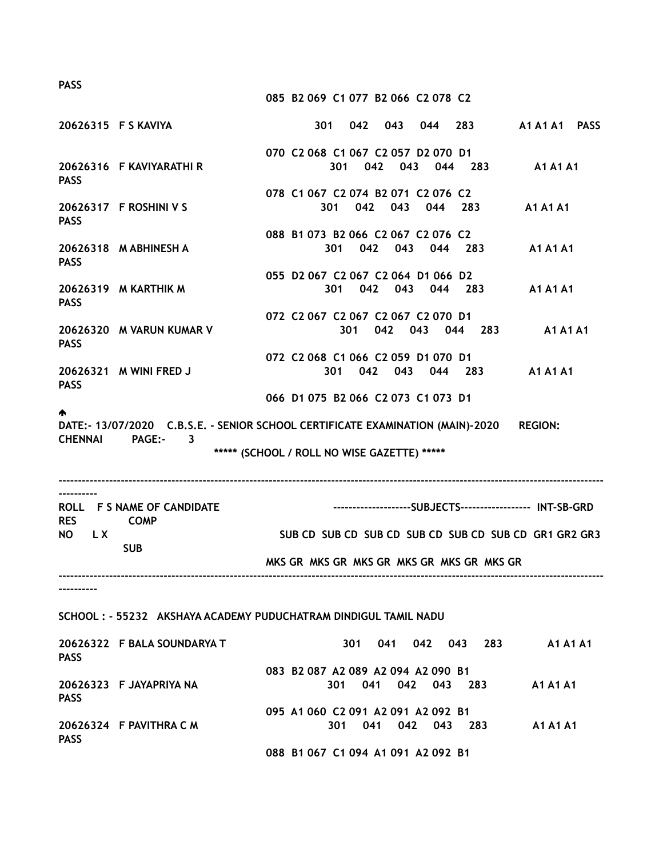085 B2 069 C1 077 B2 066 C2 078 C2

|                 | 20626315 F S KAVIYA                                                                                                                                         |                                    |  | 301 |                                    |     |             |         |                                           | 042 043 044 283 A1A1A1 PASS                               |  |
|-----------------|-------------------------------------------------------------------------------------------------------------------------------------------------------------|------------------------------------|--|-----|------------------------------------|-----|-------------|---------|-------------------------------------------|-----------------------------------------------------------|--|
| <b>PASS</b>     | 20626316 F KAVIYARATHI R                                                                                                                                    |                                    |  |     | 070 C2 068 C1 067 C2 057 D2 070 D1 |     |             |         |                                           | 301 042 043 044 283 A1A1A1                                |  |
| <b>PASS</b>     | 20626317 F ROSHINI V S                                                                                                                                      | 078 C1 067 C2 074 B2 071 C2 076 C2 |  | 301 |                                    |     |             |         | 042 043 044 283                           | <b>A1 A1 A1</b>                                           |  |
| <b>PASS</b>     | 20626318 M ABHINESH A                                                                                                                                       |                                    |  |     | 088 B1 073 B2 066 C2 067 C2 076 C2 |     |             |         |                                           | 301 042 043 044 283 A1A1A1                                |  |
| <b>PASS</b>     | 20626319 M KARTHIK M                                                                                                                                        | 055 D2 067 C2 067 C2 064 D1 066 D2 |  | 301 |                                    |     | 042 043     | 044 283 |                                           | <b>A1 A1 A1</b>                                           |  |
| <b>PASS</b>     | 20626320 M VARUN KUMAR V                                                                                                                                    | 072 C2 067 C2 067 C2 067 C2 070 D1 |  |     | 301                                |     | 042 043 044 |         |                                           | 283 A1 A1 A1                                              |  |
| <b>PASS</b>     | 20626321 M WINI FRED J                                                                                                                                      | 072 C2 068 C1 066 C2 059 D1 070 D1 |  |     |                                    |     |             |         |                                           | 301 042 043 044 283 A1A1A1                                |  |
| <b>CHENNAI</b>  | DATE:- 13/07/2020 C.B.S.E. - SENIOR SCHOOL CERTIFICATE EXAMINATION (MAIN)-2020 REGION:<br><b>PAGE:-</b><br>3<br>***** (SCHOOL / ROLL NO WISE GAZETTE) ***** | 066 D1 075 B2 066 C2 073 C1 073 D1 |  |     |                                    |     |             |         |                                           |                                                           |  |
| .<br><b>RES</b> | ROLL F S NAME OF CANDIDATE<br><b>COMP</b>                                                                                                                   |                                    |  |     |                                    |     |             |         |                                           | --------------------SUBJECTS------------------ INT-SB-GRD |  |
| NO LX           | <b>SUB</b>                                                                                                                                                  |                                    |  |     |                                    |     |             |         | MKS GR MKS GR MKS GR MKS GR MKS GR MKS GR | SUB CD SUB CD SUB CD SUB CD SUB CD SUB CD GR1 GR2 GR3     |  |
|                 |                                                                                                                                                             |                                    |  |     |                                    |     |             |         |                                           |                                                           |  |
|                 | SCHOOL: - 55232 AKSHAYA ACADEMY PUDUCHATRAM DINDIGUL TAMIL NADU                                                                                             |                                    |  |     |                                    |     |             |         |                                           |                                                           |  |
| <b>PASS</b>     | 20626322 F BALA SOUNDARYA T                                                                                                                                 |                                    |  |     | 301                                |     | 041         | 042 043 | 283                                       | <b>A1 A1 A1</b>                                           |  |
| <b>PASS</b>     | 20626323 F JAYAPRIYA NA                                                                                                                                     |                                    |  | 301 | 083 B2 087 A2 089 A2 094 A2 090 B1 | 041 | 042         | 043     | 283                                       | <b>A1 A1 A1</b>                                           |  |
| <b>PASS</b>     | 20626324 F PAVITHRA C M                                                                                                                                     |                                    |  | 301 | 095 A1 060 C2 091 A2 091 A2 092 B1 | 041 | 042         | 043     | 283                                       | A1 A1 A1                                                  |  |

088 B1 067 C1 094 A1 091 A2 092 B1

PASS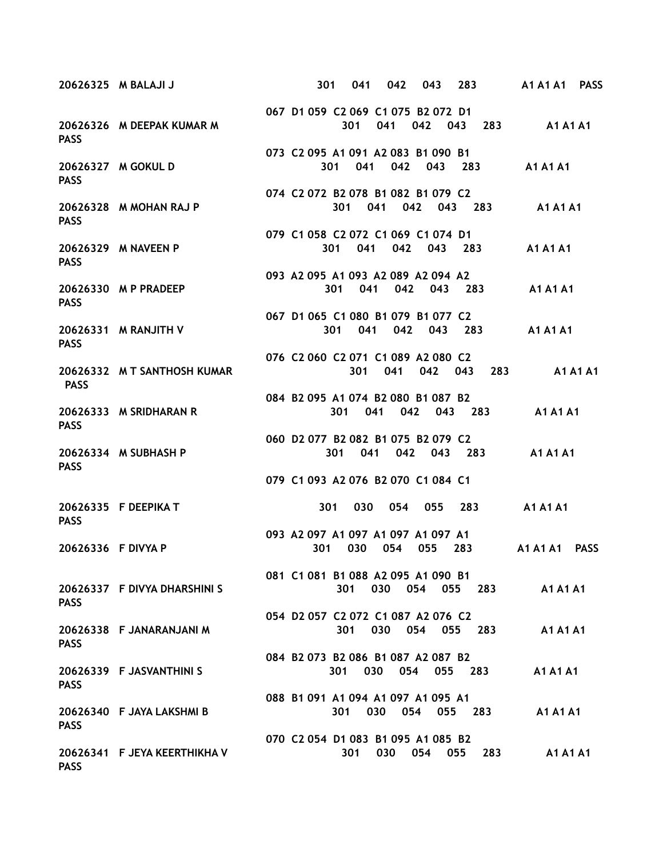|                    | 20626325 M BALAJI J          | 301                                       |     | 041 |     | 042 | 043 |     | 283     |     | A1 A1 A1        | <b>PASS</b>     |
|--------------------|------------------------------|-------------------------------------------|-----|-----|-----|-----|-----|-----|---------|-----|-----------------|-----------------|
| <b>PASS</b>        | 20626326 M DEEPAK KUMAR M    | 067 D1 059 C2 069 C1 075 B2 072 D1        |     | 301 | 041 |     |     |     | 042 043 | 283 | <b>A1 A1 A1</b> |                 |
| <b>PASS</b>        | 20626327 M GOKUL D           | 073 C2 095 A1 091 A2 083 B1 090 B1        | 301 | 041 |     | 042 |     | 043 | 283     |     | <b>A1 A1 A1</b> |                 |
| <b>PASS</b>        | 20626328 M MOHAN RAJ P       | 074 C2 072 B2 078 B1 082 B1 079 C2        | 301 |     | 041 |     | 042 | 043 | 283     |     | <b>A1 A1 A1</b> |                 |
| <b>PASS</b>        | 20626329 M NAVEEN P          | 079 C1 058 C2 072 C1 069 C1 074 D1        | 301 | 041 |     | 042 |     |     | 043 283 |     | <b>A1 A1 A1</b> |                 |
| <b>PASS</b>        | 20626330 M P PRADEEP         | 093 A2 095 A1 093 A2 089 A2 094 A2        | 301 | 041 |     | 042 |     | 043 | 283     |     | <b>A1 A1 A1</b> |                 |
| <b>PASS</b>        | 20626331 M RANJITH V         | 067 D1 065 C1 080 B1 079 B1 077 C2        | 301 |     | 041 | 042 |     | 043 | 283     |     | A1 A1 A1        |                 |
| <b>PASS</b>        | 20626332 M T SANTHOSH KUMAR  | 076 C2 060 C2 071 C1 089 A2 080 C2        |     | 301 |     | 041 | 042 |     | 043     | 283 |                 | <b>A1 A1 A1</b> |
| <b>PASS</b>        | 20626333 M SRIDHARAN R       | 084 B2 095 A1 074 B2 080 B1 087 B2        | 301 |     | 041 |     | 042 |     | 043 283 |     | <b>A1 A1 A1</b> |                 |
| <b>PASS</b>        | 20626334 M SUBHASH P         | 060 D2 077 B2 082 B1 075 B2 079 C2        | 301 | 041 |     | 042 |     |     | 043 283 |     | <b>A1 A1 A1</b> |                 |
|                    |                              | 079 C1 093 A2 076 B2 070 C1 084 C1        |     |     |     |     |     |     |         |     |                 |                 |
| <b>PASS</b>        | 20626335 F DEEPIKA T         | 301                                       |     | 030 |     | 054 |     | 055 | 283     |     | <b>A1 A1 A1</b> |                 |
| 20626336 F DIVYA P |                              | 093 A2 097 A1 097 A1 097 A1 097 A1<br>301 |     | 030 |     | 054 | 055 |     | 283     |     | <b>A1 A1 A1</b> | <b>PASS</b>     |
| <b>PASS</b>        | 20626337 F DIVYA DHARSHINI S | 081 C1 081 B1 088 A2 095 A1 090 B1        | 301 |     | 030 |     | 054 | 055 |         | 283 | <b>A1 A1 A1</b> |                 |
| <b>PASS</b>        | 20626338 F JANARANJANI M     | 054 D2 057 C2 072 C1 087 A2 076 C2        | 301 |     | 030 |     | 054 | 055 |         | 283 | <b>A1 A1 A1</b> |                 |
| <b>PASS</b>        | 20626339 F JASVANTHINI S     | 084 B2 073 B2 086 B1 087 A2 087 B2        | 301 |     | 030 | 054 |     | 055 |         | 283 | A1 A1 A1        |                 |
| <b>PASS</b>        | 20626340 F JAYA LAKSHMI B    | 088 B1 091 A1 094 A1 097 A1 095 A1        | 301 |     | 030 |     | 054 | 055 |         | 283 | <b>A1 A1 A1</b> |                 |
| <b>PASS</b>        | 20626341 F JEYA KEERTHIKHA V | 070 C2 054 D1 083 B1 095 A1 085 B2        |     | 301 | 030 |     | 054 |     | 055     | 283 | <b>A1 A1 A1</b> |                 |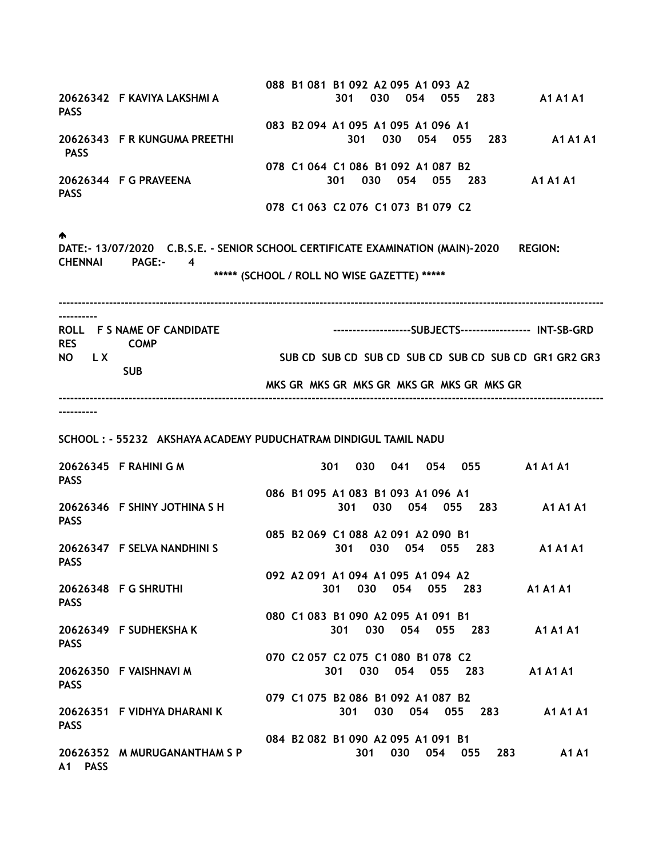088 B1 081 B1 092 A2 095 A1 093 A2 20626342 F KAVIYA LAKSHMI A 301 030 054 055 283 A1 A1 A1 PASS 083 B2 094 A1 095 A1 095 A1 096 A1 20626343 F R KUNGUMA PREETHI 301 030 054 055 283 A1 A1 A1 **PASS**  078 C1 064 C1 086 B1 092 A1 087 B2 20626344 F G PRAVEENA 301 030 054 055 283 A1 A1 A1 PASS 078 C1 063 C2 076 C1 073 B1 079 C2 ♠. DATE:- 13/07/2020 C.B.S.E. - SENIOR SCHOOL CERTIFICATE EXAMINATION (MAIN)-2020 REGION: CHENNAI PAGE:- 4 \*\*\*\*\* (SCHOOL / ROLL NO WISE GAZETTE) \*\*\*\*\* -------------------------------------------------------------------------------------------------------------------------------------------- ---------- ROLL F S NAME OF CANDIDATE --------------------------SUBJECTS------------------ INT-SB-GRD RES COMP NO LX SUB CD SUB CD SUB CD SUB CD SUB CD SUB CD SUB CD SUB CD SUB CD GR1 GR2 GR3 SUB MKS GR MKS GR MKS GR MKS GR MKS GR MKS GR -------------------------------------------------------------------------------------------------------------------------------------------- ---------- SCHOOL : - 55232 AKSHAYA ACADEMY PUDUCHATRAM DINDIGUL TAMIL NADU 20626345 F RAHINI G M 301 030 041 054 055 A1 A1 A1 PASS 086 B1 095 A1 083 B1 093 A1 096 A1 20626346 F SHINY JOTHINA S H 301 030 054 055 283 A1 A1 A1 PASS 085 B2 069 C1 088 A2 091 A2 090 B1 20626347 F SELVA NANDHINI S 301 030 054 055 283 A1 A1 A1 **PASS**  092 A2 091 A1 094 A1 095 A1 094 A2 20626348 F G SHRUTHI 301 030 054 055 283 A1 A1 A1 PASS 080 C1 083 B1 090 A2 095 A1 091 B1 20626349 F SUDHEKSHA K 301 030 054 055 283 A1 A1 A1 **PASS**  070 C2 057 C2 075 C1 080 B1 078 C2 20626350 F VAISHNAVI M 301 030 054 055 283 A1 A1 A1 PASS 079 C1 075 B2 086 B1 092 A1 087 B2 20626351 F VIDHYA DHARANI K 301 030 054 055 283 A1 A1 A1 PASS 084 B2 082 B1 090 A2 095 A1 091 B1 20626352 M MURUGANANTHAM S P 301 030 054 055 283 A1 A1 A1 PASS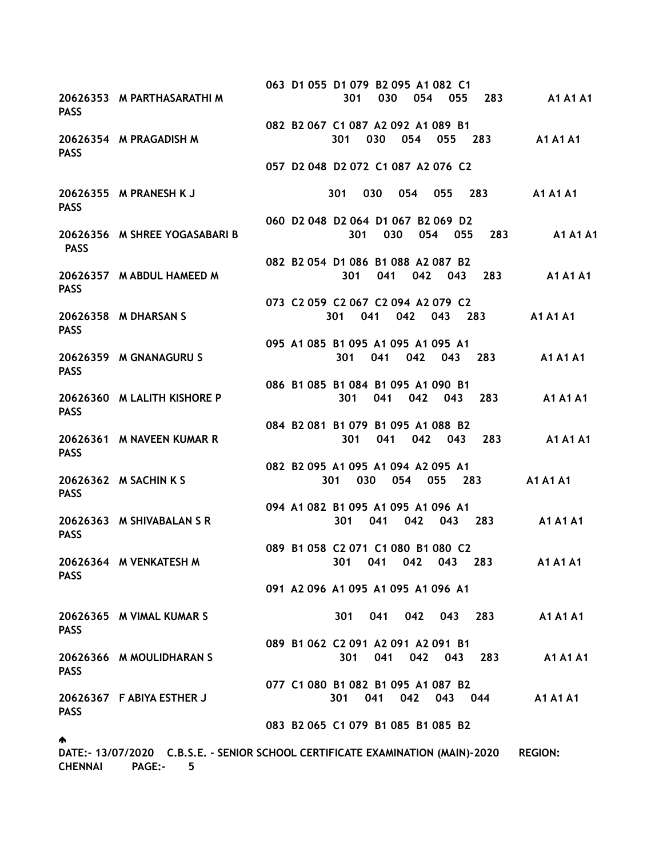063 D1 055 D1 079 B2 095 A1 082 C1 20626353 M PARTHASARATHI M 301 030 054 055 283 A1 A1 A1 PASS 082 B2 067 C1 087 A2 092 A1 089 B1 20626354 M PRAGADISH M 301 030 054 055 283 A1 A1 A1 **PASS**  057 D2 048 D2 072 C1 087 A2 076 C2 20626355 M PRANESH K J 301 030 054 055 283 A1 A1 A1 **PASS**  060 D2 048 D2 064 D1 067 B2 069 D2 20626356 M SHREE YOGASABARI B 301 030 054 055 283 A1 A1 A1 PASS 082 B2 054 D1 086 B1 088 A2 087 B2 20626357 M ABDUL HAMEED M 301 041 042 043 283 A1 A1 A1 **PASS**  073 C2 059 C2 067 C2 094 A2 079 C2 20626358 M DHARSAN S 301 041 042 043 283 A1 A1 A1 **PASS**  095 A1 085 B1 095 A1 095 A1 095 A1 20626359 M GNANAGURU S 301 041 042 043 283 A1 A1 A1 **PASS**  086 B1 085 B1 084 B1 095 A1 090 B1 20626360 M LALITH KISHORE P 301 041 042 043 283 A1 A1 A1 **PASS**  084 B2 081 B1 079 B1 095 A1 088 B2 20626361 M NAVEEN KUMAR R 301 041 042 043 283 A1 A1 A1 PASS 082 B2 095 A1 095 A1 094 A2 095 A1 20626362 M SACHIN K S 301 030 054 055 283 A1 A1 A1 **PASS**  094 A1 082 B1 095 A1 095 A1 096 A1 20626363 M SHIVABALAN S R 301 041 042 043 283 A1 A1 A1 **PASS**  089 B1 058 C2 071 C1 080 B1 080 C2 20626364 M VENKATESH M 301 041 042 043 283 A1 A1 A1 **PASS**  091 A2 096 A1 095 A1 095 A1 096 A1 20626365 M VIMAL KUMAR S 301 041 042 043 283 A1 A1 A1 **PASS**  089 B1 062 C2 091 A2 091 A2 091 B1 20626366 M MOULIDHARAN S 301 041 042 043 283 A1 A1 A1 PASS 077 C1 080 B1 082 B1 095 A1 087 B2 20626367 F ABIYA ESTHER J 301 041 042 043 044 A1 A1 A1 **PASS**  083 B2 065 C1 079 B1 085 B1 085 B2 ♠. DATE:- 13/07/2020 C.B.S.E. - SENIOR SCHOOL CERTIFICATE EXAMINATION (MAIN)-2020 REGION:

CHENNAI PAGE:- 5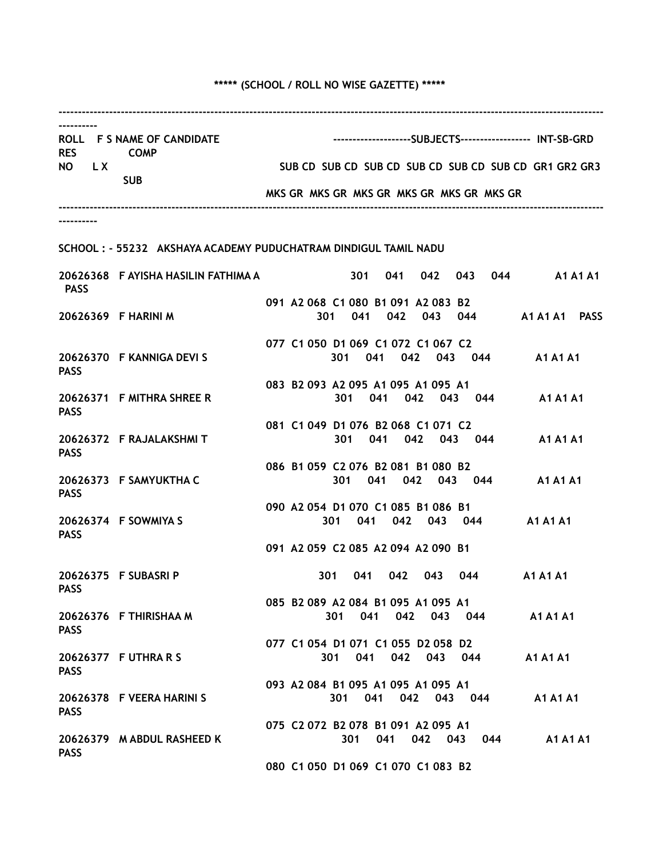# \*\*\*\*\* (SCHOOL / ROLL NO WISE GAZETTE) \*\*\*\*\*

| <b>RES</b>  | ROLL F S NAME OF CANDIDATE<br><b>COMP</b>                       |                                                       |                                           |     |         |  |             |  |             |     |             | ---------------------SUBJECTS------------------- INT-SB-GRD |  |  |  |
|-------------|-----------------------------------------------------------------|-------------------------------------------------------|-------------------------------------------|-----|---------|--|-------------|--|-------------|-----|-------------|-------------------------------------------------------------|--|--|--|
| NO LX       |                                                                 | SUB CD SUB CD SUB CD SUB CD SUB CD SUB CD GR1 GR2 GR3 |                                           |     |         |  |             |  |             |     |             |                                                             |  |  |  |
|             | <b>SUB</b>                                                      | MKS GR MKS GR MKS GR MKS GR MKS GR MKS GR             |                                           |     |         |  |             |  |             |     |             |                                                             |  |  |  |
|             |                                                                 |                                                       |                                           |     |         |  |             |  |             |     |             |                                                             |  |  |  |
|             | SCHOOL: - 55232 AKSHAYA ACADEMY PUDUCHATRAM DINDIGUL TAMIL NADU |                                                       |                                           |     |         |  |             |  |             |     |             |                                                             |  |  |  |
| <b>PASS</b> | 20626368 F AYISHA HASILIN FATHIMA A                             |                                                       |                                           |     |         |  |             |  |             |     |             | 301 041 042 043 044 A1A1A1                                  |  |  |  |
|             | 20626369 F HARINI M                                             |                                                       | 091 A2 068 C1 080 B1 091 A2 083 B2<br>301 |     | 041     |  | 042         |  |             |     |             | 043 044 A1 A1 A1 PASS                                       |  |  |  |
| <b>PASS</b> | 20626370 F KANNIGA DEVI S                                       |                                                       | 077 C1 050 D1 069 C1 072 C1 067 C2        | 301 |         |  |             |  |             |     |             | 041 042 043 044 A1A1A1                                      |  |  |  |
| <b>PASS</b> | 20626371 F MITHRA SHREE R                                       |                                                       | 083 B2 093 A2 095 A1 095 A1 095 A1        |     |         |  |             |  |             |     |             | 301 041 042 043 044 A1A1A1                                  |  |  |  |
| <b>PASS</b> | 20626372 F RAJALAKSHMIT                                         |                                                       | 081 C1 049 D1 076 B2 068 C1 071 C2        |     | 301     |  |             |  |             |     |             | 041  042  043  044  A1  A1  A1                              |  |  |  |
| <b>PASS</b> | 20626373 F SAMYUKTHA C                                          |                                                       | 086 B1 059 C2 076 B2 081 B1 080 B2        |     |         |  | 301 041 042 |  |             |     |             | 043 044 A1 A1 A1                                            |  |  |  |
| <b>PASS</b> | 20626374 F SOWMIYA S                                            |                                                       | 090 A2 054 D1 070 C1 085 B1 086 B1        | 301 | 041     |  |             |  |             |     | 042 043 044 | <b>A1 A1 A1</b>                                             |  |  |  |
|             |                                                                 |                                                       | 091 A2 059 C2 085 A2 094 A2 090 B1        |     |         |  |             |  |             |     |             |                                                             |  |  |  |
| <b>PASS</b> | 20626375 F SUBASRI P                                            |                                                       | 301                                       |     | 041     |  | 042         |  | 043         |     |             | <b>A1 A1 A1</b>                                             |  |  |  |
| <b>PASS</b> | 20626376 F THIRISHAA M                                          |                                                       | 085 B2 089 A2 084 B1 095 A1 095 A1        |     |         |  | 301 041 042 |  |             |     | 043 044     | <b>A1 A1 A1</b>                                             |  |  |  |
| <b>PASS</b> | 20626377 F UTHRA R S                                            |                                                       | 077 C1 054 D1 071 C1 055 D2 058 D2        | 301 | 041     |  |             |  | 042 043 044 |     |             | <b>A1 A1 A1</b>                                             |  |  |  |
| <b>PASS</b> | 20626378 F VEERA HARINI S                                       |                                                       | 093 A2 084 B1 095 A1 095 A1 095 A1        |     | 301 041 |  |             |  | 042 043 044 |     |             | <b>A1 A1 A1</b>                                             |  |  |  |
| <b>PASS</b> | 20626379 M ABDUL RASHEED K                                      |                                                       | 075 C2 072 B2 078 B1 091 A2 095 A1        |     | 301     |  | 041         |  | 042         | 043 | 044         | <b>A1 A1 A1</b>                                             |  |  |  |
|             |                                                                 |                                                       | 080 C1 050 D1 069 C1 070 C1 083 B2        |     |         |  |             |  |             |     |             |                                                             |  |  |  |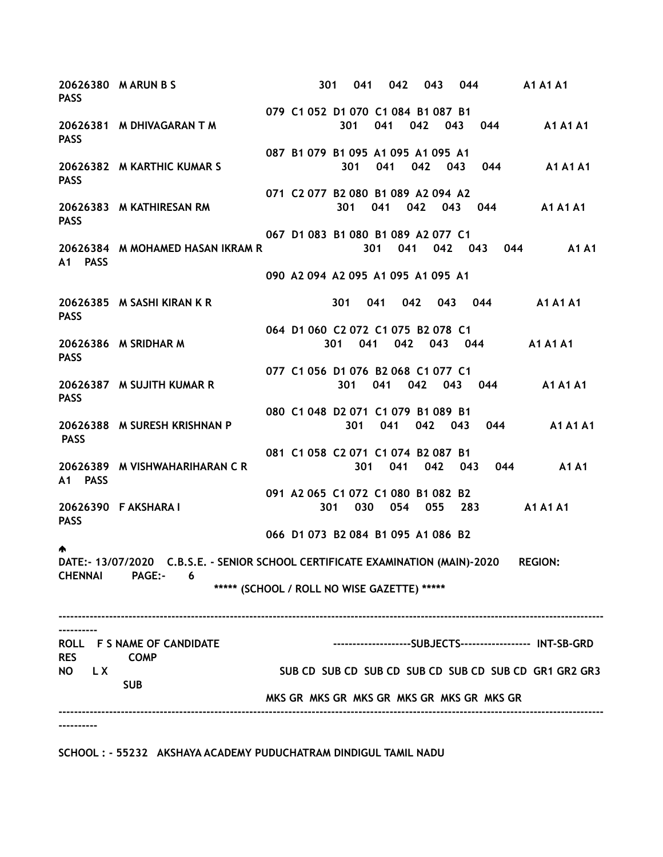20626380 M ARUN B S 301 041 042 043 044 A1 A1 A1 **PASS**  079 C1 052 D1 070 C1 084 B1 087 B1 20626381 M DHIVAGARAN T M 301 041 042 043 044 A1 A1 A1 PASS 087 B1 079 B1 095 A1 095 A1 095 A1 20626382 M KARTHIC KUMAR S 301 041 042 043 044 A1 A1 A1 PASS 071 C2 077 B2 080 B1 089 A2 094 A2 20626383 M KATHIRESAN RM 301 041 042 043 044 A1 A1 A1 PASS 067 D1 083 B1 080 B1 089 A2 077 C1 20626384 M MOHAMED HASAN IKRAM R 301 041 042 043 044 A1 A1 A1 PASS 090 A2 094 A2 095 A1 095 A1 095 A1 20626385 M SASHI KIRAN K R 301 041 042 043 044 A1 A1 A1 PASS 064 D1 060 C2 072 C1 075 B2 078 C1 20626386 M SRIDHAR M 301 041 042 043 044 A1 A1 A1 **PASS**  077 C1 056 D1 076 B2 068 C1 077 C1 20626387 M SUJITH KUMAR R 301 041 042 043 044 A1 A1 A1 PASS 080 C1 048 D2 071 C1 079 B1 089 B1 20626388 M SURESH KRISHNAN P 301 041 042 043 044 A1 A1 A1 PASS 081 C1 058 C2 071 C1 074 B2 087 B1 20626389 M VISHWAHARIHARAN C R 301 041 042 043 044 A1 A1 A1 PASS 091 A2 065 C1 072 C1 080 B1 082 B2 20626390 F AKSHARA I 301 030 054 055 283 A1 A1 A1 PASS 066 D1 073 B2 084 B1 095 A1 086 B2 ♠ DATE:- 13/07/2020 C.B.S.E. - SENIOR SCHOOL CERTIFICATE EXAMINATION (MAIN)-2020 REGION: CHENNAI PAGE:- 6 \*\*\*\*\* (SCHOOL / ROLL NO WISE GAZETTE) \*\*\*\*\* -------------------------------------------------------------------------------------------------------------------------------------------- ---------- ROLL F S NAME OF CANDIDATE ---------------------------SUBJECTS------------------ INT-SB-GRD RES COMP NO LX SUB CD SUB CD SUB CD SUB CD SUB CD SUB CD SUB CD SUB CD SUB CD GR1 GR2 GR3 SUB MKS GR MKS GR MKS GR MKS GR MKS GR MKS GR -------------------------------------------------------------------------------------------------------------------------------------------- ----------

SCHOOL : - 55232 AKSHAYA ACADEMY PUDUCHATRAM DINDIGUL TAMIL NADU